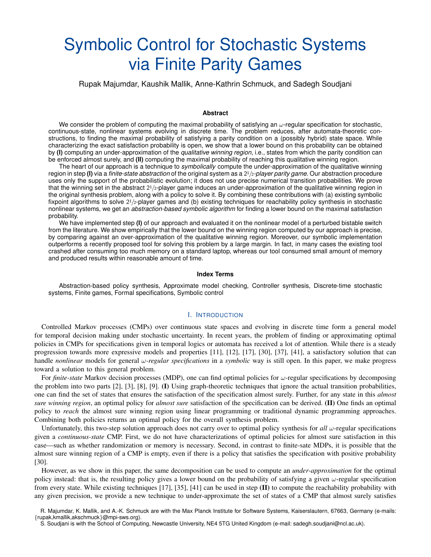# Symbolic Control for Stochastic Systems via Finite Parity Games

Rupak Majumdar, Kaushik Mallik, Anne-Kathrin Schmuck, and Sadegh Soudjani

#### **Abstract**

We consider the problem of computing the maximal probability of satisfying an  $\omega$ -regular specification for stochastic, continuous-state, nonlinear systems evolving in discrete time. The problem reduces, after automata-theoretic constructions, to finding the maximal probability of satisfying a parity condition on a (possibly hybrid) state space. While characterizing the exact satisfaction probability is open, we show that a lower bound on this probability can be obtained by **(I)** computing an under-approximation of the *qualitative winning region*, i.e., states from which the parity condition can be enforced almost surely, and **(II)** computing the maximal probability of reaching this qualitative winning region.

The heart of our approach is a technique to *symbolically* compute the under-approximation of the qualitative winning region in step **(I)** via a *finite-state abstraction* of the original system as a 21/2*-player parity game*. Our abstraction procedure uses only the support of the probabilistic evolution; it does not use precise numerical transition probabilities. We prove that the winning set in the abstract  $2\frac{1}{2}$ -player game induces an under-approximation of the qualitative winning region in the original synthesis problem, along with a policy to solve it. By combining these contributions with (a) existing symbolic fixpoint algorithms to solve 21/2-player games and (b) existing techniques for reachability policy synthesis in stochastic nonlinear systems, we get an *abstraction-based symbolic algorithm* for finding a lower bound on the maximal satisfaction probability.

We have implemented step **(I)** of our approach and evaluated it on the nonlinear model of a perturbed bistable switch from the literature. We show empirically that the lower bound on the winning region computed by our approach is precise, by comparing against an over-approximation of the qualitative winning region. Moreover, our symbolic implementation outperforms a recently proposed tool for solving this problem by a large margin. In fact, in many cases the existing tool crashed after consuming too much memory on a standard laptop, whereas our tool consumed small amount of memory and produced results within reasonable amount of time.

#### **Index Terms**

Abstraction-based policy synthesis, Approximate model checking, Controller synthesis, Discrete-time stochastic systems, Finite games, Formal specifications, Symbolic control

#### I. INTRODUCTION

Controlled Markov processes (CMPs) over continuous state spaces and evolving in discrete time form a general model for temporal decision making under stochastic uncertainty. In recent years, the problem of finding or approximating optimal policies in CMPs for specifications given in temporal logics or automata has received a lot of attention. While there is a steady progression towards more expressive models and properties [11], [12], [17], [30], [37], [41], a satisfactory solution that can handle *nonlinear* models for general ω*-regular specifications* in a *symbolic* way is still open. In this paper, we make progress toward a solution to this general problem.

For *finite-state* Markov decision processes (MDP), one can find optimal policies for  $\omega$ -regular specifications by decomposing the problem into two parts [2], [3], [8], [9]. (I) Using graph-theoretic techniques that ignore the actual transition probabilities, one can find the set of states that ensures the satisfaction of the specification almost surely. Further, for any state in this *almost sure winning region*, an optimal policy for *almost sure* satisfaction of the specification can be derived. (II) One finds an optimal policy to *reach* the almost sure winning region using linear programming or traditional dynamic programming approaches. Combining both policies returns an optimal policy for the overall synthesis problem.

Unfortunately, this two-step solution approach does not carry over to optimal policy synthesis for *all* ω-regular specifications given a *continuous-state* CMP. First, we do not have characterizations of optimal policies for almost sure satisfaction in this case—such as whether randomization or memory is necessary. Second, in contrast to finite-sate MDPs, it is possible that the almost sure winning region of a CMP is empty, even if there is a policy that satisfies the specification with positive probability [30].

However, as we show in this paper, the same decomposition can be used to compute an *under-approximation* for the optimal policy instead: that is, the resulting policy gives a lower bound on the probability of satisfying a given  $\omega$ -regular specification from every state. While existing techniques [17], [35], [41] can be used in step (II) to compute the reachability probability with any given precision, we provide a new technique to under-approximate the set of states of a CMP that almost surely satisfies

R. Majumdar, K. Mallik, and A.-K. Schmuck are with the Max Planck Institute for Software Systems, Kaiserslautern, 67663, Germany (e-mails: {rupak,kmallik,akschmuck}@mpi-sws.org).

S. Soudjani is with the School of Computing, Newcastle University, NE4 5TG United Kingdom (e-mail: sadegh.soudjani@ncl.ac.uk).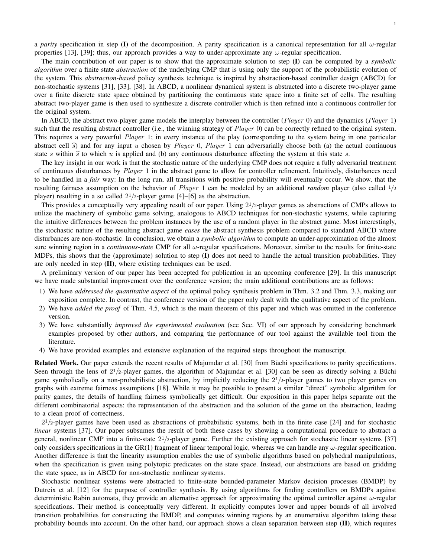a *parity* specification in step (I) of the decomposition. A parity specification is a canonical representation for all  $\omega$ -regular properties [13], [39]; thus, our approach provides a way to under-approximate any  $\omega$ -regular specification.

The main contribution of our paper is to show that the approximate solution to step (I) can be computed by a *symbolic algorithm* over a finite state *abstraction* of the underlying CMP that is using only the support of the probabilistic evolution of the system. This *abstraction-based* policy synthesis technique is inspired by abstraction-based controller design (ABCD) for non-stochastic systems [31], [33], [38]. In ABCD, a nonlinear dynamical system is abstracted into a discrete two-player game over a finite discrete state space obtained by partitioning the continuous state space into a finite set of cells. The resulting abstract two-player game is then used to synthesize a discrete controller which is then refined into a continuous controller for the original system.

In ABCD, the abstract two-player game models the interplay between the controller ( $Player 0$ ) and the dynamics ( $Player 1$ ) such that the resulting abstract controller (i.e., the winning strategy of *Player* 0) can be correctly refined to the original system. This requires a very powerful *Player* 1; in every instance of the play (corresponding to the system being in one particular abstract cell  $\hat{s}$ ) and for any input u chosen by Player 0, Player 1 can adversarially choose both (a) the actual continuous state s within  $\hat{s}$  to which u is applied and (b) any continuous disturbance affecting the system at this state s.

The key insight in our work is that the stochastic nature of the underlying CMP does not require a fully adversarial treatment of continuous disturbances by Player 1 in the abstract game to allow for controller refinement. Intuitively, disturbances need to be handled in a *fair* way: In the long run, all transitions with positive probability will eventually occur. We show, that the resulting fairness assumption on the behavior of Player 1 can be modeled by an additional *random* player (also called <sup>1</sup>/<sup>2</sup> player) resulting in a so called  $2^{1}/2$ -player game [4]–[6] as the abstraction.

This provides a conceptually very appealing result of our paper. Using  $2\frac{1}{2}$ -player games as abstractions of CMPs allows to utilize the machinery of symbolic game solving, analogous to ABCD techniques for non-stochastic systems, while capturing the intuitive differences between the problem instances by the use of a random player in the abstract game. Most interestingly, the stochastic nature of the resulting abstract game *eases* the abstract synthesis problem compared to standard ABCD where disturbances are non-stochastic. In conclusion, we obtain a *symbolic algorithm* to compute an under-approximation of the almost sure winning region in a *continuous-state* CMP for all ω-regular specifications. Moreover, similar to the results for finite-state MDPs, this shows that the (approximate) solution to step (I) does not need to handle the actual transition probabilities. They are only needed in step  $(II)$ , where existing techniques can be used.

A preliminary version of our paper has been accepted for publication in an upcoming conference [29]. In this manuscript we have made substantial improvement over the conference version; the main additional contributions are as follows:

- 1) We have *addressed the quantitative aspect* of the optimal policy synthesis problem in Thm. 3.2 and Thm. 3.3, making our exposition complete. In contrast, the conference version of the paper only dealt with the qualitative aspect of the problem.
- 2) We have *added the proof* of Thm. 4.5, which is the main theorem of this paper and which was omitted in the conference version.
- 3) We have substantially *improved the experimental evaluation* (see Sec. VI) of our approach by considering benchmark examples proposed by other authors, and comparing the performance of our tool against the available tool from the literature.
- 4) We have provided examples and extensive explanation of the required steps throughout the manuscript.

Related Work. Our paper extends the recent results of Majumdar et al. [30] from Büchi specifications to parity specifications. Seen through the lens of  $2^1/2$ -player games, the algorithm of Majumdar et al. [30] can be seen as directly solving a Büchi game symbolically on a non-probabilistic abstraction, by implicitly reducing the  $2\frac{1}{2}$ -player games to two player games on graphs with extreme fairness assumptions [18]. While it may be possible to present a similar "direct" symbolic algorithm for parity games, the details of handling fairness symbolically get difficult. Our exposition in this paper helps separate out the different combinatorial aspects: the representation of the abstraction and the solution of the game on the abstraction, leading to a clean proof of correctness.

 $2^{1/2}$ -player games have been used as abstractions of probabilistic systems, both in the finite case [24] and for stochastic *linear* systems [37]. Our paper subsumes the result of both these cases by showing a computational procedure to abstract a general, nonlinear CMP into a finite-state  $2^{1}/2$ -player game. Further the existing approach for stochastic linear systems [37] only considers specifications in the GR(1) fragment of linear temporal logic, whereas we can handle any  $\omega$ -regular specification. Another difference is that the linearity assumption enables the use of symbolic algorithms based on polyhedral manipulations, when the specification is given using polytopic predicates on the state space. Instead, our abstractions are based on gridding the state space, as in ABCD for non-stochastic nonlinear systems.

Stochastic nonlinear systems were abstracted to finite-state bounded-parameter Markov decision processes (BMDP) by Dutreix et al. [12] for the purpose of controller synthesis. By using algorithms for finding controllers on BMDPs against deterministic Rabin automata, they provide an alternative approach for approximating the optimal controller against  $\omega$ -regular specifications. Their method is conceptually very different. It explicitly computes lower and upper bounds of all involved transition probabilities for constructing the BMDP, and computes winning regions by an enumerative algorithm taking these probability bounds into account. On the other hand, our approach shows a clean separation between step  $(II)$ , which requires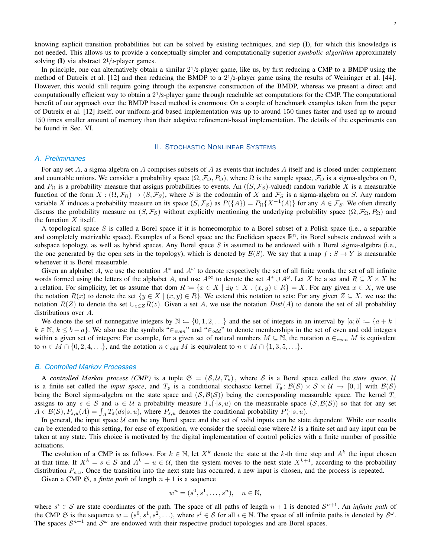knowing explicit transition probabilities but can be solved by existing techniques, and step (I), for which this knowledge is not needed. This allows us to provide a conceptually simpler and computationally superior *symbolic algorithm* approximately solving (I) via abstract  $2^{1}/2$ -player games.

In principle, one can alternatively obtain a similar  $2\frac{1}{2}$ -player game, like us, by first reducing a CMP to a BMDP using the method of Dutreix et al. [12] and then reducing the BMDP to a  $2^{1}/2$ -player game using the results of Weininger et al. [44]. However, this would still require going through the expensive construction of the BMDP, whereas we present a direct and computationally efficient way to obtain a  $2^{1/2}$ -player game through reachable set computations for the CMP. The computational benefit of our approach over the BMDP based method is enormous: On a couple of benchmark examples taken from the paper of Dutreix et al. [12] itself, our uniform-grid based implementation was up to around 150 times faster and used up to around 150 times smaller amount of memory than their adaptive refinement-based implementation. The details of the experiments can be found in Sec. VI.

# II. STOCHASTIC NONLINEAR SYSTEMS

## *A. Preliminaries*

For any set  $A$ , a sigma-algebra on  $A$  comprises subsets of  $A$  as events that includes  $A$  itself and is closed under complement and countable unions. We consider a probability space  $(\Omega, \mathcal{F}_{\Omega}, P_{\Omega})$ , where  $\Omega$  is the sample space,  $\mathcal{F}_{\Omega}$  is a sigma-algebra on  $\Omega$ , and  $P_{\Omega}$  is a probability measure that assigns probabilities to events. An  $((S, \mathcal{F}_S)$ -valued) random variable X is a measurable function of the form  $X : (\Omega, \mathcal{F}_{\Omega}) \to (S, \mathcal{F}_{S})$ , where S is the codomain of X and  $\mathcal{F}_{S}$  is a sigma-algebra on S. Any random variable X induces a probability measure on its space  $(S, \mathcal{F}_S)$  as  $P({A}) = P_{\Omega} {X^{-1}(A)}$  for any  $A \in \mathcal{F}_S$ . We often directly discuss the probability measure on  $(S, \mathcal{F}_S)$  without explicitly mentioning the underlying probability space  $(\Omega, \mathcal{F}_\Omega, P_\Omega)$  and the function  $X$  itself.

A topological space S is called a Borel space if it is homeomorphic to a Borel subset of a Polish space (i.e., a separable and completely metrizable space). Examples of a Borel space are the Euclidean spaces  $\mathbb{R}^n$ , its Borel subsets endowed with a subspace topology, as well as hybrid spaces. Any Borel space  $S$  is assumed to be endowed with a Borel sigma-algebra (i.e., the one generated by the open sets in the topology), which is denoted by  $\mathcal{B}(S)$ . We say that a map  $f : S \to Y$  is measurable whenever it is Borel measurable.

Given an alphabet A, we use the notation  $A^*$  and  $A^{\omega}$  to denote respectively the set of all finite words, the set of all infinite words formed using the letters of the alphabet A, and use  $A^{\infty}$  to denote the set  $A^* \cup A^{\omega}$ . Let X be a set and  $R \subseteq X \times X$  be a relation. For simplicity, let us assume that dom  $R := \{x \in X \mid \exists y \in X \,:\, (x, y) \in R\} = X$ . For any given  $x \in X$ , we use the notation  $R(x)$  to denote the set  $\{y \in X \mid (x, y) \in R\}$ . We extend this notation to sets: For any given  $Z \subseteq X$ , we use the notation  $R(Z)$  to denote the set  $\bigcup_{z\in Z}R(z)$ . Given a set A, we use the notation  $Dist(A)$  to denote the set of all probability distributions over A.

We denote the set of nonnegative integers by  $\mathbb{N} := \{0, 1, 2, \ldots\}$  and the set of integers in an interval by  $[a; b] := \{a + k \mid b\}$  $k \in \mathbb{N}, k \leq b - a$ . We also use the symbols " $\in_{even}$ " and " $\in_{odd}$ " to denote memberships in the set of even and odd integers within a given set of integers: For example, for a given set of natural numbers  $M \subseteq \mathbb{N}$ , the notation  $n \in_{even} M$  is equivalent to  $n \in M \cap \{0, 2, 4, \ldots\}$ , and the notation  $n \in_{odd} M$  is equivalent to  $n \in M \cap \{1, 3, 5, \ldots\}$ .

## *B. Controlled Markov Processes*

A *controlled Markov process (CMP)* is a tuple  $\mathfrak{S} = (\mathcal{S}, \mathcal{U}, T_{\mathfrak{s}})$ , where S is a Borel space called the *state space*, U is a finite set called the *input space*, and  $T_s$  is a conditional stochastic kernel  $T_s : B(S) \times S \times U \to [0,1]$  with  $B(S)$ being the Borel sigma-algebra on the state space and  $(S, B(S))$  being the corresponding measurable space. The kernel  $T_s$ assigns to any  $s \in S$  and  $u \in U$  a probability measure  $T_s(\cdot|s, u)$  on the measurable space  $(S, \mathcal{B}(S))$  so that for any set  $A \in \mathcal{B}(\mathcal{S}), P_{s,u}(A) = \int_A T_s(ds|s,u)$ , where  $P_{s,u}$  denotes the conditional probability  $P(\cdot|s,u)$ .

In general, the input space  $U$  can be any Borel space and the set of valid inputs can be state dependent. While our results can be extended to this setting, for ease of exposition, we consider the special case where  $U$  is a finite set and any input can be taken at any state. This choice is motivated by the digital implementation of control policies with a finite number of possible actuations.

The evolution of a CMP is as follows. For  $k \in \mathbb{N}$ , let  $X^k$  denote the state at the k-th time step and  $A^k$  the input chosen at that time. If  $X^k = s \in S$  and  $A^k = u \in U$ , then the system moves to the next state  $X^{k+1}$ , according to the probability distribution  $P_{s,u}$ . Once the transition into the next state has occurred, a new input is chosen, and the process is repeated.

Given a CMP  $\mathfrak{S}$ , a *finite path* of length  $n + 1$  is a sequence

$$
w^n = (s^0, s^1, \dots, s^n), \quad n \in \mathbb{N},
$$

where  $s^i \in S$  are state coordinates of the path. The space of all paths of length  $n+1$  is denoted  $S^{n+1}$ . An *infinite path* of the CMP  $\mathfrak S$  is the sequence  $w = (s^0, s^1, s^2, \ldots)$ , where  $s^i \in \mathcal S$  for all  $i \in \mathbb N$ . The space of all infinite paths is denoted by  $\mathcal S^{\omega}$ . The spaces  $S^{n+1}$  and  $S^{\omega}$  are endowed with their respective product topologies and are Borel spaces.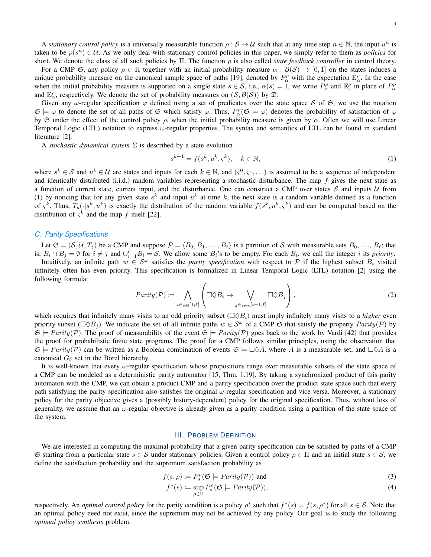3

A *stationary control policy* is a universally measurable function  $\rho$ :  $S \to U$  such that at any time step  $n \in \mathbb{N}$ , the input  $u^n$  is taken to be  $\rho(s^n) \in \mathcal{U}$ . As we only deal with stationary control policies in this paper, we simply refer to them as *policies* for short. We denote the class of all such policies by Π. The function ρ is also called *state feedback controller* in control theory.

For a CMP  $\mathfrak{S}$ , any policy  $\rho \in \Pi$  together with an initial probability measure  $\alpha : \mathcal{B}(\mathcal{S}) \to [0,1]$  on the states induces a unique probability measure on the canonical sample space of paths [19], denoted by  $P_\alpha^{\rho}$  with the expectation  $\mathbb{E}_{\alpha}^{\rho}$ . In the case when the initial probability measure is supported on a single state  $s \in S$ , i.e.,  $\alpha(s) = 1$ , we write  $P_s^{\rho}$  and  $\mathbb{E}_s^{\rho}$  in place of  $P_{\alpha}^{\rho}$ and  $\mathbb{E}_{\alpha}^{\rho}$ , respectively. We denote the set of probability measures on  $(S, \mathcal{B}(S))$  by  $\mathfrak{D}$ .

Given any  $\omega$ -regular specification  $\varphi$  defined using a set of predicates over the state space S of G, we use the notation  $\mathfrak{S} \models \varphi$  to denote the set of all paths of  $\mathfrak S$  which satisfy  $\varphi$ . Thus,  $P_\alpha^{\rho}(\mathfrak S \models \varphi)$  denotes the probability of satisfaction of  $\varphi$ by G under the effect of the control policy  $\rho$ , when the initial probability measure is given by  $\alpha$ . Often we will use Linear Temporal Logic (LTL) notation to express  $\omega$ -regular properties. The syntax and semantics of LTL can be found in standard literature [2].

A *stochastic dynamical system* Σ is described by a state evolution

$$
s^{k+1} = f(s^k, u^k, \varsigma^k), \quad k \in \mathbb{N}, \tag{1}
$$

where  $s^k \in \mathcal{S}$  and  $u^k \in \mathcal{U}$  are states and inputs for each  $k \in \mathbb{N}$ , and  $(\zeta^0, \zeta^1, \ldots)$  is assumed to be a sequence of independent and identically distributed (i.i.d.) random variables representing a stochastic disturbance. The map  $f$  gives the next state as a function of current state, current input, and the disturbance. One can construct a CMP over states  $S$  and inputs  $U$  from (1) by noticing that for any given state  $s^k$  and input  $u^k$  at time k, the next state is a random variable defined as a function of  $\zeta^k$ . Thus,  $T_s(\cdot|s^k, u^k)$  is exactly the distribution of the random variable  $f(s^k, u^k, \zeta^k)$  and can be computed based on the distribution of  $\zeta^k$  and the map f itself [22].

## *C. Parity Specifications*

Let  $\mathfrak{S} = (\mathcal{S}, \mathcal{U}, T_{\mathfrak{s}})$  be a CMP and suppose  $\mathcal{P} = \langle B_0, B_1, \ldots, B_\ell \rangle$  is a partition of S with measurable sets  $B_0, \ldots, B_\ell$ ; that is,  $B_i \cap B_j = \emptyset$  for  $i \neq j$  and  $\bigcup_{i=1}^{\ell} B_i = \mathcal{S}$ . We allow some  $B_i$ 's to be empty. For each  $B_i$ , we call the integer i its *priority*.

Intuitively, an infinite path  $w \in S^{\omega}$  satisfies the *parity specification* with respect to P if the highest subset  $B_i$  visited infinitely often has even priority. This specification is formalized in Linear Temporal Logic (LTL) notation [2] using the following formula:

$$
Parity(\mathcal{P}) := \bigwedge_{i \in \text{odd}} \left( \Box \Diamond B_i \to \bigvee_{j \in \text{even}} \Box \Diamond B_j \right), \tag{2}
$$

which requires that infinitely many visits to an odd priority subset  $(\Box \Diamond B_i)$  must imply infinitely many visits to a *higher* even priority subset ( $\Box \Diamond B_i$ ). We indicate the set of all infinite paths  $w \in S^{\omega}$  of a CMP  $\mathfrak{S}$  that satisfy the property  $Parity(\mathcal{P})$  by  $\mathfrak{S} \models \text{Parity}(\mathcal{P})$ . The proof of measurability of the event  $\mathfrak{S} \models \text{Parity}(\mathcal{P})$  goes back to the work by Vardi [42] that provides the proof for probabilistic finite state programs. The proof for a CMP follows similar principles, using the observation that  $\mathfrak{S} \models \text{Parity}(\mathcal{P})$  can be written as a Boolean combination of events  $\mathfrak{S} \models \Box \Diamond A$ , where A is a measurable set, and  $\Box \Diamond A$  is a canonical  $G_{\delta}$  set in the Borel hierarchy.

It is well-known that every  $\omega$ -regular specification whose propositions range over measurable subsets of the state space of a CMP can be modeled as a deterministic parity automaton [15, Thm. 1.19]. By taking a synchronized product of this parity automaton with the CMP, we can obtain a product CMP and a parity specification over the product state space such that every path satisfying the parity specification also satisfies the original  $\omega$ -regular specification and vice versa. Moreover, a stationary policy for the parity objective gives a (possibly history-dependent) policy for the original specification. Thus, without loss of generality, we assume that an  $\omega$ -regular objective is already given as a parity condition using a partition of the state space of the system.

## III. PROBLEM DEFINITION

We are interested in computing the maximal probability that a given parity specification can be satisfied by paths of a CMP G starting from a particular state  $s \in \mathcal{S}$  under stationary policies. Given a control policy  $\rho \in \Pi$  and an initial state  $s \in \mathcal{S}$ , we define the satisfaction probability and the supremum satisfaction probability as

$$
f(s,\rho) := P_s^{\rho}(\mathfrak{S} \models Parity(\mathcal{P})) \text{ and } (3)
$$

$$
f^*(s) := \sup_{\rho \in \Pi} P_s^{\rho}(\mathfrak{S} \models Parity(\mathcal{P})),
$$
\n(4)

respectively. An *optimal control policy* for the parity condition is a policy  $\rho^*$  such that  $f^*(s) = f(s, \rho^*)$  for all  $s \in S$ . Note that an optimal policy need not exist, since the supremum may not be achieved by any policy. Our goal is to study the following *optimal policy synthesis* problem.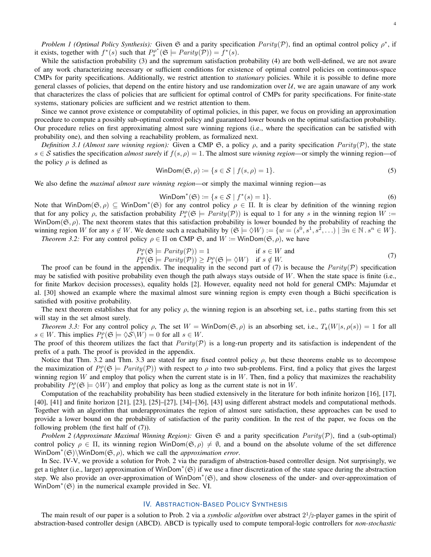*Problem 1 (Optimal Policy Synthesis)*: Given  $\mathfrak{S}$  and a parity specification  $Parity(\mathcal{P})$ , find an optimal control policy  $\rho^*$ , if it exists, together with  $f^*(s)$  such that  $P_s^{p^*}(\mathfrak{S} \models \operatorname{Parity}(\mathcal{P})) = f^*(s)$ .

While the satisfaction probability (3) and the supremum satisfaction probability (4) are both well-defined, we are not aware of any work characterizing necessary or sufficient conditions for existence of optimal control policies on continuous-space CMPs for parity specifications. Additionally, we restrict attention to *stationary* policies. While it is possible to define more general classes of policies, that depend on the entire history and use randomization over  $\mathcal{U}$ , we are again unaware of any work that characterizes the class of policies that are sufficient for optimal control of CMPs for parity specifications. For finite-state systems, stationary policies are sufficient and we restrict attention to them.

Since we cannot prove existence or computability of optimal policies, in this paper, we focus on providing an approximation procedure to compute a possibly sub-optimal control policy and guaranteed lower bounds on the optimal satisfaction probability. Our procedure relies on first approximating almost sure winning regions (i.e., where the specification can be satisfied with probability one), and then solving a reachability problem, as formalized next.

*Definition 3.1 (Almost sure winning region):* Given a CMP  $\mathfrak{S}$ , a policy  $\rho$ , and a parity specification  $Parity(\mathcal{P})$ , the state  $s \in S$  satisfies the specification *almost surely* if  $f(s, \rho) = 1$ . The almost sure *winning region*—or simply the winning region—of the policy  $\rho$  is defined as

$$
\text{WinDom}(\mathfrak{S}, \rho) \coloneqq \{ s \in \mathcal{S} \mid f(s, \rho) = 1 \}. \tag{5}
$$

We also define the *maximal almost sure winning region*—or simply the maximal winning region—as

$$
\text{WinDom}^*(\mathfrak{S}) \coloneqq \{ s \in \mathcal{S} \mid f^*(s) = 1 \}. \tag{6}
$$

Note that WinDom $(\mathfrak{S}, \rho) \subseteq \mathsf{WinDom}^*(\mathfrak{S})$  for any control policy  $\rho \in \Pi$ . It is clear by definition of the winning region that for any policy  $\rho$ , the satisfaction probability  $P_s^{\rho}(\mathfrak{S} \models Parity(\mathcal{P}))$  is equal to 1 for any s in the winning region  $W :=$ WinDom( $\mathfrak{S}, \rho$ ). The next theorem states that this satisfaction probability is lower bounded by the probability of reaching the winning region W for any  $s \notin W$ . We denote such a reachability by  $(\mathfrak{S} \models \Diamond W) := \{w = (s^0, s^1, s^2, \ldots) \mid \exists n \in \mathbb{N} \cdot s^n \in W\}.$ *Theorem 3.2:* For any control policy  $\rho \in \Pi$  on CMP  $\mathfrak{S}$ , and  $W := \text{WinDom}(\mathfrak{S}, \rho)$ , we have

$$
P_s^{\rho}(\mathfrak{S} \models \operatorname{Parity}(\mathcal{P})) = 1 \qquad \text{if } s \in W \text{ and}
$$
  
\n
$$
P_s^{\rho}(\mathfrak{S} \models \operatorname{Parity}(\mathcal{P})) \ge P_s^{\rho}(\mathfrak{S} \models \Diamond W) \quad \text{if } s \notin W.
$$
 (7)

The proof can be found in the appendix. The inequality in the second part of (7) is because the  $Parity(\mathcal{P})$  specification may be satisfied with positive probability even though the path always stays outside of  $W$ . When the state space is finite (i.e., for finite Markov decision processes), equality holds [2]. However, equality need not hold for general CMPs: Majumdar et al. [30] showed an example where the maximal almost sure winning region is empty even though a Büchi specification is satisfied with positive probability.

The next theorem establishes that for any policy  $\rho$ , the winning region is an absorbing set, i.e., paths starting from this set will stay in the set almost surely.

*Theorem 3.3:* For any control policy  $\rho$ , The set  $W = \mathsf{WinDom}(\mathfrak{S}, \rho)$  is an absorbing set, i.e.,  $T_{\mathfrak{s}}(W|s, \rho(s)) = 1$  for all  $s \in W$ . This implies  $P_s^{\rho}(\mathfrak{S} \models \Diamond S \setminus W) = 0$  for all  $s \in W$ .

The proof of this theorem utilizes the fact that  $Parity(\mathcal{P})$  is a long-run property and its satisfaction is independent of the prefix of a path. The proof is provided in the appendix.

Notice that Thm. 3.2 and Thm. 3.3 are stated for any fixed control policy  $\rho$ , but these theorems enable us to decompose the maximization of  $P_s^{\rho}(\mathfrak{S} \models \text{Parity}(\mathcal{P}))$  with respect to  $\rho$  into two sub-problems. First, find a policy that gives the largest winning region W and employ that policy when the current state is in  $W$ . Then, find a policy that maximizes the reachability probability  $P_s^{\rho}(\mathfrak{S} \models \Diamond W)$  and employ that policy as long as the current state is not in W.

Computation of the reachability probability has been studied extensively in the literature for both infinite horizon [16], [17], [40], [41] and finite horizon [21], [23], [25]–[27], [34]–[36], [43] using different abstract models and computational methods. Together with an algorithm that underapproximates the region of almost sure satisfaction, these approaches can be used to provide a lower bound on the probability of satisfaction of the parity condition. In the rest of the paper, we focus on the following problem (the first half of (7)).

*Problem 2 (Approximate Maximal Winning Region):* Given  $\mathfrak{S}$  and a parity specification  $Parity(\mathcal{P})$ , find a (sub-optimal) control policy  $\rho \in \Pi$ , its winning region WinDom( $\mathfrak{S}, \rho$ )  $\neq \emptyset$ , and a bound on the absolute volume of the set difference  $\text{WinDom}^*(\mathfrak{S})\backslash\text{WinDom}(\mathfrak{S}, \rho)$ , which we call the *approximation error*.

In Sec. IV-V, we provide a solution for Prob. 2 via the paradigm of abstraction-based controller design. Not surprisingly, we get a tighter (i.e., larger) approximation of WinDom<sup>\*</sup>(<del>G</del>) if we use a finer discretization of the state space during the abstraction step. We also provide an over-approximation of WinDom<sup>∗</sup>(G), and show closeness of the under- and over-approximation of WinDom<sup>\*</sup>(G) in the numerical example provided in Sec. VI.

## IV. ABSTRACTION-BASED POLICY SYNTHESIS

The main result of our paper is a solution to Prob. 2 via a *symbolic algorithm* over abstract  $2^{1}/2$ -player games in the spirit of abstraction-based controller design (ABCD). ABCD is typically used to compute temporal-logic controllers for *non-stochastic*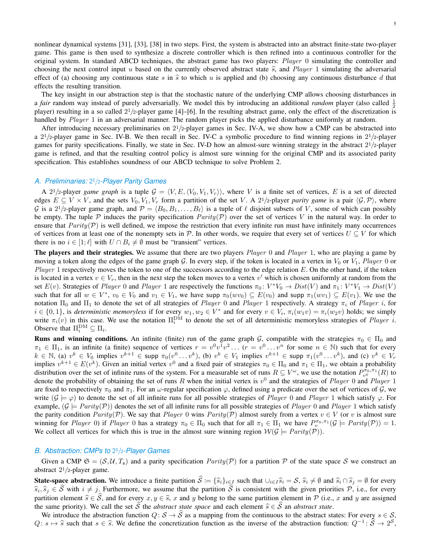nonlinear dynamical systems [31], [33], [38] in two steps. First, the system is abstracted into an abstract finite-state two-player game. This game is then used to synthesize a discrete controller which is then refined into a continuous controller for the original system. In standard ABCD techniques, the abstract game has two players:  $Player\ 0$  simulating the controller and choosing the next control input u based on the currently observed abstract state  $\hat{s}$ , and Player 1 simulating the adversarial effect of (a) choosing any continuous state s in  $\hat{s}$  to which u is applied and (b) choosing any continuous disturbance d that effects the resulting transition.

The key insight in our abstraction step is that the stochastic nature of the underlying CMP allows choosing disturbances in a *fair* random way instead of purely adversarially. We model this by introducing an additional *random* player (also called  $\frac{1}{2}$ ) player) resulting in a so called  $2\frac{1}{2}$ -player game [4]–[6]. In the resulting abstract game, only the effect of the discretization is handled by Player 1 in an adversarial manner. The random player picks the applied disturbance uniformly at random.

After introducing necessary preliminaries on  $2^{1}/2$ -player games in Sec. IV-A, we show how a CMP can be abstracted into a  $2^{1}/2$ -player game in Sec. IV-B. We then recall in Sec. IV-C a symbolic procedure to find winning regions in  $2^{1}/2$ -player games for parity specifications. Finally, we state in Sec. IV-D how an almost-sure winning strategy in the abstract  $21/z$ -player game is refined, and that the resulting control policy is almost sure winning for the original CMP and its associated parity specification. This establishes soundness of our ABCD technique to solve Problem 2.

#### *A. Preliminaries:* 21/2*-Player Parity Games*

A 2<sup>1</sup>/2-player *game graph* is a tuple  $G = \langle V, E, \langle V_0, V_1, V_r \rangle \rangle$ , where V is a finite set of vertices, E is a set of directed edges  $E \subseteq V \times V$ , and the sets  $V_0, V_1, V_r$  form a partition of the set V. A 2<sup>1</sup>/2-player *parity game* is a pair  $\langle \mathcal{G}, \mathcal{P} \rangle$ , where G is a 2<sup>1</sup>/2-player game graph, and  $\mathcal{P} = \langle B_0, B_1, \ldots, B_\ell \rangle$  is a tuple of  $\ell$  disjoint subsets of V, some of which can possibly be empty. The tuple P induces the parity specification  $Parity(\mathcal{P})$  over the set of vertices V in the natural way. In order to ensure that  $Parity(\mathcal{P})$  is well defined, we impose the restriction that every infinite run must have infinitely many occurrences of vertices from at least one of the nonempty sets in P. In other words, we require that every set of vertices  $U \subseteq V$  for which there is no  $i \in [1; \ell]$  with  $U \cap B_i \neq \emptyset$  must be "transient" vertices.

The players and their strategies. We assume that there are two players Player 0 and Player 1, who are playing a game by moving a token along the edges of the game graph G. In every step, if the token is located in a vertex in  $V_0$  or  $V_1$ , Player 0 or Player 1 respectively moves the token to one of the successors according to the edge relation  $E$ . On the other hand, if the token is located in a vertex  $v \in V_r$ , then in the next step the token moves to a vertex  $v'$  which is chosen uniformly at random from the set  $E(v)$ . Strategies of *Player* 0 and *Player* 1 are respectively the functions  $\pi_0: V^*V_0 \to Dist(V)$  and  $\pi_1: V^*V_1 \to Dist(V)$ such that for all  $w \in V^*$ ,  $v_0 \in V_0$  and  $v_1 \in V_1$ , we have supp  $\pi_0(wv_0) \subseteq E(v_0)$  and supp  $\pi_1(wv_1) \subseteq E(v_1)$ . We use the notation  $\Pi_0$  and  $\Pi_1$  to denote the set of all strategies of *Player* 0 and *Player* 1 respectively. A strategy π<sub>i</sub> of *Player i*, for  $i \in \{0,1\}$ , is *deterministic memoryless* if for every  $w_1, w_2 \in V^*$  and for every  $v \in V_i$ ,  $\pi_i(w_1v) = \pi_i(w_2v)$  holds; we simply write  $\pi_i(v)$  in this case. We use the notation  $\Pi_i^{DM}$  to denote the set of all deterministic memoryless strategies of *Player i.* Observe that  $\Pi_i^{\text{DM}} \subseteq \Pi_i$ .

**Runs and winning conditions.** An infinite (finite) run of the game graph G, compatible with the strategies  $\pi_0 \in \Pi_0$  and  $\pi_1 \in \Pi_1$ , is an infinite (a finite) sequence of vertices  $r = v^0v^1v^2 \dots (r = v^0 \dots v^n$  for some  $n \in \mathbb{N}$ ) such that for every  $k \in \mathbb{N}$ , (a)  $v^k \in V_0$  implies  $v^{k+1} \in \text{supp } \pi_0(v^0 \dots v^k)$ , (b)  $v^k \in V_1$  implies  $v^{k+1} \in \text{supp } \pi_1(v^0 \dots v^k)$ , and (c)  $v^k \in V_r$ implies  $v^{k+1} \in E(v^k)$ . Given an initial vertex  $v^0$  and a fixed pair of strategies  $\pi_0 \in \Pi_0$  and  $\pi_1 \in \Pi_1$ , we obtain a probability distribution over the set of infinite runs of the system. For a measurable set of runs  $R \subseteq V^\omega$ , we use the notation  $P_{v^0}^{\pi_0, \pi_1}(R)$  to denote the probability of obtaining the set of runs R when the initial vertex is  $v^0$  and the strategies of Player 0 and Player 1 are fixed to respectively  $\pi_0$  and  $\pi_1$ . For an  $\omega$ -regular specification  $\varphi$ , defined using a predicate over the set of vertices of  $\mathcal{G}$ , we write  $(\mathcal{G} \models \varphi)$  to denote the set of all infinite runs for all possible strategies of *Player* 0 and *Player* 1 which satisfy  $\varphi$ . For example,  $(G \models Parity(\mathcal{P}))$  denotes the set of all infinite runs for all possible strategies of Player 0 and Player 1 which satisfy the parity condition Parity(P). We say that Player 0 wins Parity(P) almost surely from a vertex  $v \in V$  (or v is almost sure winning for Player 0) if Player 0 has a strategy  $\pi_0 \in \Pi_0$  such that for all  $\pi_1 \in \Pi_1$  we have  $P_v^{\pi_0, \pi_1}(\mathcal{G} \models \text{Parity}(\mathcal{P})) = 1$ . We collect all vertices for which this is true in the almost sure winning region  $W(G \models Parity(\mathcal{P}))$ .

# *B. Abstraction: CMPs to* 2<sup>1</sup>/2*-Player Games*

Given a CMP  $\mathfrak{S} = (\mathcal{S}, \mathcal{U}, T_{\mathfrak{s}})$  and a parity specification  $Parity(\mathcal{P})$  for a partition  $\mathcal P$  of the state space  $\mathcal S$  we construct an abstract  $2^{1}/2$ -player game.

**State-space abstraction.** We introduce a finite partition  $\hat{S} := {\hat{s}_i}_{i \in I}$  such that  $\cup_{i \in I} \hat{s}_i = S$ ,  $\hat{s}_i \neq \emptyset$  and  $\hat{s}_i \cap \hat{s}_j = \emptyset$  for every  $\hat{s}_i, \hat{s}_j \in S$  with  $i \neq j$ . Furthermore, we assume that the partition S is consistent with the given priorities P, i.e., for every partition element  $\hat{s} \in \hat{S}$ , and for every  $x, y \in \hat{s}$ , x and y belong to the same partition element in P (i.e., x and y are assigned the same priority). We call the set  $\hat{S}$  the *abstract state space* and each element  $\hat{s} \in \hat{S}$  an *abstract state*.

We introduce the abstraction function  $Q: S \to \widehat{S}$  as a mapping from the continuous to the abstract states: For every  $s \in S$ ,  $Q: s \mapsto \hat{s}$  such that  $s \in \hat{s}$ . We define the concretization function as the inverse of the abstraction function:  $Q^{-1}: \hat{s} \to 2^s$ ,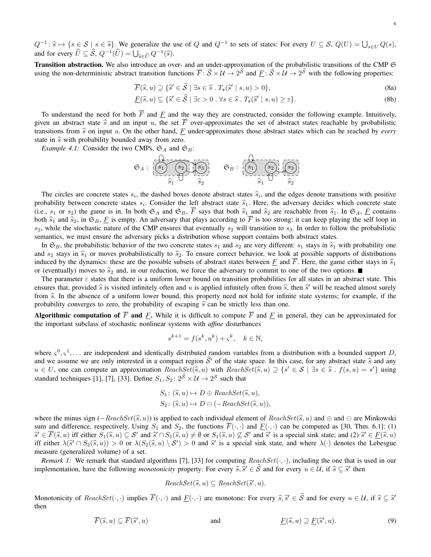$Q^{-1}$ :  $\widehat{s} \mapsto \{s \in S \mid s \in \widehat{s}\}\$ . We generalize the use of Q and  $Q^{-1}$  to sets of states: For every  $U \subseteq S$ ,  $Q(U) = \bigcup_{s \in U} Q(s)$ , and for every  $\hat{U} \subseteq \hat{S}$ ,  $Q^{-1}(\hat{U}) = \bigcup_{\hat{s} \in \hat{U}} Q^{-1}(\hat{s})$ .

Transition abstraction. We also introduce an over- and an under-approximation of the probabilistic transitions of the CMP  $\mathfrak S$ using the non-deterministic abstract transition functions  $\overline{F}$ :  $S \times U \rightarrow 2^S$  and  $\underline{F}$ :  $S \times U \rightarrow 2^S$  with the following properties:

$$
\overline{F}(\widehat{s},u) \supseteq \{ \widehat{s}' \in \widehat{\mathcal{S}} \mid \exists s \in \widehat{s} \cdot T_{\mathfrak{s}}(\widehat{s}' \mid s,u) > 0 \},\tag{8a}
$$

$$
\underline{F}(\widehat{s}, u) \subseteq \{\widehat{s}' \in \widehat{\mathcal{S}} \mid \exists \varepsilon > 0 \,.\,\forall s \in \widehat{s} \,.\,T_{\mathfrak{s}}(\widehat{s}' \mid s, u) \ge \varepsilon\}. \tag{8b}
$$

To understand the need for both  $\overline{F}$  and  $\overline{F}$  and the way they are constructed, consider the following example. Intuitively, given an abstract state  $\hat{s}$  and an input u, the set  $\overline{F}$  over-approximates the set of abstract states reachable by probabilistic transitions from  $\hat{s}$  on input u. On the other hand,  $\hat{F}$  under-approximates those abstract states which can be reached by *every* state in  $\hat{s}$  with probability bounded away from zero.

*Example 4.1:* Consider the two CMPs,  $\mathfrak{S}_A$  and  $\mathfrak{S}_B$ :

$$
\mathfrak{S}_A: \begin{bmatrix} \overbrace{\begin{array}{c} \overbrace{\begin{array}{c} s_1 \end{array}} \end{array}}^{S_2} \overbrace{\begin{array}{c} s_2 \end{array}}^{S_3} \end{bmatrix}, \quad \mathfrak{S}_B: \begin{bmatrix} \overbrace{\begin{array}{c} s_1 \end{array}}^{S_2} \end{bmatrix}, \begin{array}{c} \overbrace{\begin{array}{c} s_2 \end{array}}^{S_3} \end{array}
$$

The circles are concrete states  $s_i$ , the dashed boxes denote abstract states  $\hat{s}_i$ , and the edges denote transitions with positive<br>phobility between concrete states  $s_i$ . Consider the left abstract state  $\hat{s}_i$ . Here, probability between concrete states  $s_i$ . Consider the left abstract state  $\hat{s}_1$ . Here, the adversary decides which concrete state<br>(i.e.,  $s_i$ , or  $s_i$ ) the game is in In both  $\mathfrak{S}_i$ , and  $\mathfrak{S}_i$ , and  $\mathfrak{S}_i$ , (i.e.,  $s_1$  or  $s_2$ ) the game is in. In both  $\mathfrak{S}_A$  and  $\mathfrak{S}_B$ ,  $\overline{F}$  says that both  $\widehat{s}_1$  and  $\widehat{s}_2$  are reachable from  $\widehat{s}_1$ . In  $\mathfrak{S}_A$ ,  $\underline{F}$  contains both  $\hat{s}_1$  and  $\hat{s}_2$ , in  $\mathfrak{S}_B$ ,  $\underline{F}$  is empty. An adversary that plays according to  $\overline{F}$  is too strong: it can keep playing the self loop in  $s_2$ , while the stochastic nature of the CMP ensures that eventually  $s_2$  will transition to  $s_3$ . In order to follow the probabilistic semantics, we must ensure the adversary picks a distribution whose support contains both abstract states.

In  $\mathfrak{S}_B$ , the probabilistic behavior of the two concrete states  $s_1$  and  $s_2$  are very different:  $s_1$  stays in  $\hat{s}_1$  with probability one and  $s_2$  stays in  $\hat{s}_1$  or moves probabilistically to  $\hat{s}_2$ . To ensure correct behavior, we look at possible supports of distributions induced by the dynamics: these are the possible subsets of abstract states between  $\vec{F}$  and  $\vec{F}$ . Here, the game either stays in  $\hat{s}_1$ or (eventually) moves to  $\hat{s}_2$  and, in our reduction, we force the adversary to commit to one of the two options.

The parameter  $\varepsilon$  states that there is a uniform lower bound on transition probabilities for all states in an abstract state. This ensures that, provided  $\hat{s}$  is visited infinitely often and u is applied infinitely often from  $\hat{s}$ , then  $\hat{s}'$  will be reached almost surely from  $\hat{s}$ . In the absence of a uniform lower bound, this property need n from  $\hat{s}$ . In the absence of a uniform lower bound, this property need not hold for infinite state systems; for example, if the probability converges to zero, the probability of escaping  $\hat{s}$  can be strictly less than one.

Algorithmic computation of  $\overline{F}$  and  $\underline{F}$ . While it is difficult to compute  $\overline{F}$  and  $\underline{F}$  in general, they can be approximated for the important subclass of stochastic nonlinear systems with *affine* disturbances

$$
s^{k+1} = f(s^k, u^k) + \varsigma^k, \quad k \in \mathbb{N},
$$

where  $\zeta^0, \zeta^1, \ldots$  are independent and identically distributed random variables from a distribution with a bounded support D, and we assume we are only interested in a compact region  $\hat{S}$  of the state space. In this case, for any abstract state  $\hat{s}$  and any  $u \in U$ , one can compute an approximation  $ReachSet(\hat{s}, u)$  with  $ReachSet(\hat{s}, u) \supseteq \{s' \in S \mid \exists s \in \hat{s} : f(s, u) = s'\}$  using standard techniques [1], [7], [22], Define  $S \subseteq S \cup \hat{S} \cup \mathcal{U}$ ,  $\hat{S} \subseteq S$  and that standard techniques [1], [7], [33]. Define  $S_1, S_2 \colon 2^S \times U \to 2^S$  such that

$$
S_1: (\widehat{s}, u) \mapsto D \oplus \text{ReachSet}(\widehat{s}, u),
$$
  

$$
S_2: (\widehat{s}, u) \mapsto D \ominus (-\text{ReachSet}(\widehat{s}, u)),
$$

where the minus sign  $(-ReachSet(\hat{s}, u))$  is applied to each individual element of  $ReachSet(\hat{s}, u)$  and  $\oplus$  and  $\ominus$  are Minkowski sum and difference, respectively. Using  $S_1$  and  $S_2$ , the functions  $\overline{F}(\cdot, \cdot)$  and  $\underline{F}(\cdot, \cdot)$  can be computed as [30, Thm. 6.1]: (1)  $\widehat{s}' \in \overline{F}(\widehat{s}, u)$  iff either  $S_1(\widehat{s}, u) \subseteq S'$  and  $\widehat{s}' \cap S_1(\widehat{s}, u) \neq \emptyset$  or  $S_1(\widehat{s}, u) \not\subseteq S'$  and  $\widehat{s}'$  is a special sink state; and (2)  $\widehat{s}' \in \underline{F}(\widehat{s}, u)$ <br>iff either  $\lambda(\widehat{s}' \cap S_2(\widehat{s}, u)) > 0$  or  $\lambda(S_2(\widehat{s}, u$ iff either  $\lambda(\hat{s}' \cap S_2(\hat{s}, u)) > 0$  or  $\lambda(S_2(\hat{s}, u) \setminus S') > 0$  and  $\hat{s}'$  is a special sink state, and where  $\lambda(\cdot)$  denotes the Lebesgue measure (generalized volume) of a set.

*Remark 1:* We remark that standard algorithms [7], [33] for computing  $ReachSet(\cdot, \cdot)$ , including the one that is used in our implementation, have the following *monotonicity* property: For every  $\hat{s}, \hat{s}' \in S$  and for every  $u \in \mathcal{U}$ , if  $\hat{s} \subseteq \hat{s}'$  then

$$
ReachSet(\widehat{s}, u) \subseteq ReachSet(\widehat{s}', u).
$$

Monotonicity of  $ReachSet(\cdot, \cdot)$  implies  $\overline{F}(\cdot, \cdot)$  and  $\underline{F}(\cdot, \cdot)$  are monotone: For every  $\widehat{s}, \widehat{s}' \in \mathcal{S}$  and for every  $u \in \mathcal{U}$ , if  $\widehat{s} \subseteq \widehat{s}'$ <br>then then

$$
\overline{F}(\widehat{s},u) \subseteq \overline{F}(\widehat{s}',u) \qquad \text{and} \qquad \underline{F}(\widehat{s},u) \supseteq \underline{F}(\widehat{s}',u). \tag{9}
$$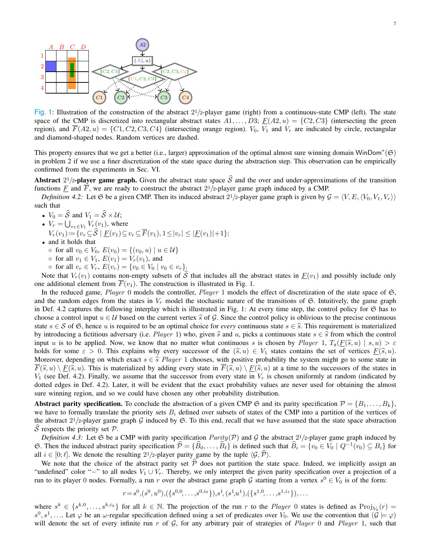

Fig. 1: Illustration of the construction of the abstract  $2\frac{1}{2}$ -player game (right) from a continuous-state CMP (left). The state space of the CMP is discretized into rectangular abstract states  $A_1, \ldots, D_3$ ;  $F(A_2, u) = \{C_2, C_3\}$  (intersecting the green region), and  $\overline{F}(A2, u) = \{C1, C2, C3, C4\}$  (intersecting orange region).  $V_0$ ,  $V_1$  and  $V_r$  are indicated by circle, rectangular and diamond-shaped nodes. Random vertices are dashed.

This property ensures that we get a better (i.e., larger) approximation of the optimal almost sure winning domain WinDom<sup>\*</sup>( $\Im$ ) in problem 2 if we use a finer discretization of the state space during the abstraction step. This observation can be empirically confirmed from the experiments in Sec. VI.

Abstract 2<sup>1</sup>/2-player game graph. Given the abstract state space  $\hat{S}$  and the over and under-approximations of the transition functions  $\overline{F}$  and  $\overline{F}$ , we are ready to construct the abstract 2<sup>1</sup>/2-player game graph induced by a CMP.

*Definition 4.2:* Let  $G$  be a given CMP. Then its induced abstract  $2^1/2$ -player game graph is given by  $G = \langle V, E, \langle V_0, V_1, V_r \rangle \rangle$ such that

- $V_0 = \widehat{S}$  and  $V_1 = \widehat{S} \times U$ ;
- $V_r = \bigcup_{v_1 \in V_1} V_r(v_1)$ , where
	- $V_r(v_1):=\{v_r \subseteq \hat{S} \mid \underline{F}(v_1) \subseteq v_r \subseteq \overline{F}(v_1), 1 \leq |v_r| \leq |\underline{F}(v_1)|+1\};$
- and it holds that
	- for all  $v_0 \in V_0$ ,  $E(v_0) = \{(v_0, u) | u \in \mathcal{U}\}\$
	- $\circ$  for all  $v_1 \in V_1$ ,  $E(v_1) = V_r(v_1)$ , and
	- for all  $v_r \in V_r$ ,  $E(v_r) = \{v_0 \in V_0 \mid v_0 \in v_r\}$ .

Note that  $V_r(v_1)$  contains non-empty subsets of  $\hat{S}$  that includes all the abstract states in  $F(v_1)$  and possibly include only one additional element from  $F(v_1)$ . The construction is illustrated in Fig. 1.

In the reduced game, Player 0 models the controller, Player 1 models the effect of discretization of the state space of  $\mathfrak{S}$ , and the random edges from the states in  $V_r$  model the stochastic nature of the transitions of  $\mathfrak{S}$ . Intuitively, the game graph in Def. 4.2 captures the following interplay which is illustrated in Fig. 1: At every time step, the control policy for  $\mathfrak{S}$  has to choose a control input  $u \in \mathcal{U}$  based on the current vertex  $\hat{s}$  of G. Since the control policy is oblivious to the precise continuous state  $s \in S$  of  $\mathfrak{S}$ , hence u is required to be an optimal choice for *every* continuous state  $s \in \widehat{s}$ . This requirement is materialized by introducing a fictitious adversary (i.e. Player 1) who, given  $\hat{s}$  and u, picks a continuous state  $s \in \hat{s}$  from which the control input u is to be applied. Now, we know that no matter what continuous s is chosen by Player 1,  $T_s(F(\hat{s}, u) \mid s, u) > \varepsilon$ holds for some  $\varepsilon > 0$ . This explains why every successor of the  $(\hat{s}, u) \in V_1$  states contains the set of vertices  $\underline{F}(\hat{s}, u)$ . Moreover, depending on which exact  $s \in \hat{s}$  Player 1 chooses, with positive probability the system might go to some state in  $\overline{F}(\widehat{s}, u) \setminus F(\widehat{s}, u)$ . This is materialized by adding every state in  $\overline{F}(\widehat{s}, u) \setminus F(\widehat{s}, u)$  at a time to the successors of the states in  $V_1$  (see Def. 4.2). Finally, we assume that the successor from every state in  $V_r$  is chosen uniformly at random (indicated by dotted edges in Def. 4.2). Later, it will be evident that the exact probability values are never used for obtaining the almost sure winning region, and so we could have chosen any other probability distribution.

Abstract parity specification. To conclude the abstraction of a given CMP  $\mathfrak{S}$  and its parity specification  $\mathcal{P} = \{B_1, \ldots, B_k\}$ , we have to formally translate the priority sets  $B_i$  defined over subsets of states of the CMP into a partition of the vertices of the abstract  $21/2$ -player game graph G induced by G. To this end, recall that we have assumed that the state space abstraction S respects the priority set  $P$ .

*Definition 4.3:* Let  $\mathfrak{S}$  be a CMP with parity specification  $Parity(\mathcal{P})$  and  $\mathcal G$  the abstract  $2^1/2$ -player game graph induced by S. Then the induced abstract parity specification  $\hat{\mathcal{P}} = {\hat{B}_0, \dots, \hat{B}_\ell}$  is defined such that  $\hat{B}_i = \{v_0 \in V_0 \mid Q^{-1}(v_0) \subseteq B_i\}$  for all  $i \in [0; \ell]$ . We denote the resulting 2<sup>1</sup>/2-player parity game by the tuple  $\langle \mathcal{G}, \mathcal{P} \rangle$ .

We note that the choice of the abstract parity set  $\hat{P}$  does not partition the state space. Indeed, we implicitly assign an "undefined" color "−" to all nodes  $V_1 \cup V_r$ . Thereby, we only interpret the given parity specification over a projection of a run to its player 0 nodes. Formally, a run r over the abstract game graph G starting from a vertex  $s^0 \in V_0$  is of the form:

$$
r = s^{0}, (s^{0}, u^{0}), (\{s^{0,0}, \ldots, s^{0,i_0}\}), s^{1}, (s^{1}, u^{1}), (\{s^{1,0}, \ldots, s^{1,i_1}\}), \ldots
$$

where  $s^k \in \{s^{k,0}, \ldots, s^{k,i_k}\}\$  for all  $k \in \mathbb{N}$ . The projection of the run r to the *Player* 0 states is defined as  $\text{Proj}_{V_0}(r) =$  $s^0, s^1, \dots$  Let  $\varphi$  be an  $\omega$ -regular specification defined using a set of predicates over  $V_0$ . We use the convention that  $(\check{\mathcal{G}} \models \varphi)$ will denote the set of every infinite run r of  $G$ , for any arbitrary pair of strategies of Player 0 and Player 1, such that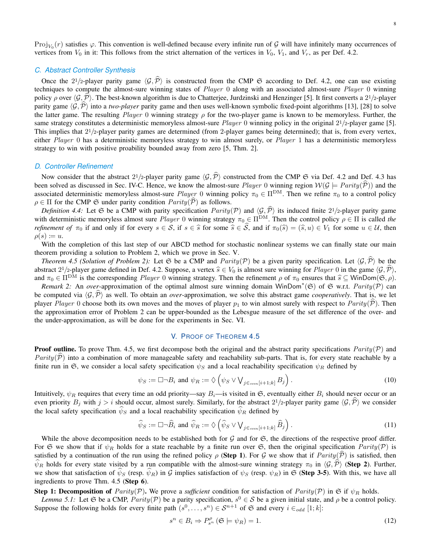Proj $_{V_0}(r)$  satisfies  $\varphi$ . This convention is well-defined because every infinite run of G will have infinitely many occurrences of vertices from  $V_0$  in it: This follows from the strict alternation of the vertices in  $V_0$ ,  $V_1$ , and  $V_r$ , as per Def. 4.2.

## *C. Abstract Controller Synthesis*

Once the 21/2-player parity game  $\langle \mathcal{G}, \hat{\mathcal{P}} \rangle$  is constructed from the CMP  $\mathfrak{S}$  according to Def. 4.2, one can use existing techniques to compute the almost-sure winning states of Player  $0$  along with an associated almost-sure Player  $0$  winning policy  $\rho$  over  $\langle \mathcal{G}, \mathcal{P} \rangle$ . The best-known algorithm is due to Chatterjee, Jurdzinski and Henzinger [5]. It first converts a 2<sup>1</sup>/2-player parity game  $\langle \mathcal{G}, \hat{\mathcal{P}} \rangle$  into a *two-player* parity game and then uses well-known symbolic fixed-point algorithms [13], [28] to solve the latter game. The resulting *Player* 0 winning strategy  $\rho$  for the two-player game is known to be memoryless. Further, the same strategy constitutes a deterministic memoryless almost-sure  $Player\ 0$  winning policy in the original  $2\frac{1}{2}$ -player game [5]. This implies that  $2\frac{1}{2}$ -player parity games are determined (from 2-player games being determined); that is, from every vertex, either Player 0 has a deterministic memoryless strategy to win almost surely, or Player 1 has a deterministic memoryless strategy to win with positive proability bounded away from zero [5, Thm. 2].

#### *D. Controller Refinement*

Now consider that the abstract 2<sup>1</sup>/2-player parity game  $\langle \mathcal{G},\hat{\mathcal{P}}\rangle$  constructed from the CMP  $\mathfrak{S}$  via Def. 4.2 and Def. 4.3 has been solved as discussed in Sec. IV-C. Hence, we know the almost-sure *Player* 0 winning region  $W(G \models \text{Parity}(\widehat{P}))$  and the associated deterministic memoryless almost-sure Player 0 winning policy  $\pi_0 \in \Pi^{DM}$ . Then we refine  $\pi_0$  to a control policy  $\rho \in \Pi$  for the CMP  $\mathfrak{S}$  under parity condition  $Parity(\mathcal{P})$  as follows.

*Definition 4.4:* Let  $\Im$  be a CMP with parity specification  $Parity(\mathcal{P})$  and  $\langle \mathcal{G}, \widehat{\mathcal{P}} \rangle$  its induced finite 2<sup>1</sup>/2-player parity game with deterministic memoryless almost sure *Player* 0 winning strategy  $\pi_0 \in \Pi^{DM}$ . Then the control policy  $\rho \in \Pi$  is called *the refinement of*  $\pi_0$  if and only if for every  $s \in S$ , if  $s \in \hat{s}$  for some  $\hat{s} \in S$ , and if  $\pi_0(\hat{s}) = (\hat{s}, u) \in V_1$  for some  $u \in \mathcal{U}$ , then  $\rho(s) \coloneqq u.$ 

With the completion of this last step of our ABCD method for stochastic nonlinear systems we can finally state our main theorem providing a solution to Problem 2, which we prove in Sec. V.

*Theorem 4.5 (Solution of Problem 2):* Let  $G$  be a CMP and  $Parity(\mathcal{P})$  be a given parity specification. Let  $\langle \mathcal{G}, \hat{\mathcal{P}} \rangle$  be the abstract 2<sup>1</sup>/2-player game defined in Def. 4.2. Suppose, a vertex  $\hat{s} \in V_0$  is almost sure winning for Player 0 in the game  $\langle \mathcal{G}, \mathcal{P} \rangle$ , and  $\pi_0 \in \Pi^{DM}$  is the corresponding *Player* 0 winning strategy. Then the refinement  $\rho$  of  $\pi_0$  ensures that  $\hat{s} \subseteq$  WinDom( $\mathfrak{S}, \rho$ ).

*Remark 2:* An *over*-approximation of the optimal almost sure winning domain WinDom<sup>\*</sup>( $\Im$ ) of  $\Im$  w.r.t. *Parity*( $\mathcal{P}$ ) can be computed via  $\langle G, \mathcal{P} \rangle$  as well. To obtain an *over*-approximation, we solve this abstract game *cooperatively*. That is, we let player Player 0 choose both its own moves and the moves of player  $p_1$  to win almost surely with respect to Parity( $\hat{P}$ ). Then the approximation error of Problem 2 can be upper-bounded as the Lebesgue measure of the set difference of the over- and the under-approximation, as will be done for the experiments in Sec. VI.

#### V. PROOF OF THEOREM 4.5

**Proof outline.** To prove Thm. 4.5, we first decompose both the original and the abstract parity specifications  $Parity(\mathcal{P})$  and *Parity*( $\overline{P}$ ) into a combination of more manageable safety and reachability sub-parts. That is, for every state reachable by a finite run in G, we consider a local safety specification  $\psi_S$  and a local reachability specification  $\psi_R$  defined by

$$
\psi_S := \Box \neg B_i \text{ and } \psi_R := \Diamond \left( \psi_S \vee \bigvee_{j \in_{\text{even}}[i+1,k]} B_j \right).
$$
\n(10)

Intuitively,  $\psi_R$  requires that every time an odd priority—say  $B_i$ —is visited in G, eventually either  $B_i$  should never occur or an even priority  $B_j$  with  $j > i$  should occur, almost surely. Similarly, for the abstract  $2^1/2$ -player parity game  $\langle \mathcal{G}, \hat{\mathcal{P}} \rangle$  we consider the local safety specification  $\psi_S$  and a local reachability specification  $\psi_R$  defined by

$$
\widehat{\psi}_S := \Box \neg \widehat{B}_i \text{ and } \widehat{\psi}_R := \Diamond \left( \widehat{\psi}_S \vee \bigvee_{j \in \text{even}[i+1,k]} \widehat{B}_j \right).
$$
\n(11)

While the above decomposition needs to be established both for  $G$  and for  $\mathfrak{S}$ , the directions of the respective proof differ. For G we show that if  $\psi_R$  holds for a state reachable by a finite run over G, then the original specification  $Parity(\mathcal{P})$  is satisfied by a continuation of the run using the refined policy  $\rho$  (**Step 1**). For G we show that if  $Parity(\mathcal{P})$  is satisfied, then  $\widehat{\psi}_R$  holds for every state visited by a run compatible with the almost-sure winning strategy  $\pi_0$  in  $\langle \mathcal{G}, \widehat{\mathcal{P}} \rangle$  (**Step 2**). Further, we show that satisfaction of  $\psi_S$  (resp.  $\psi_R$ ) in G implies satisfaction of  $\psi_S$  (resp.  $\psi_R$ ) in G (**Step 3-5**). With this, we have all ingredients to prove Thm. 4.5 (Step 6).

**Step 1: Decomposition of**  $Parity(\mathcal{P})$ . We prove a *sufficient* condition for satisfaction of  $Parity(\mathcal{P})$  in  $\mathfrak{S}$  if  $\psi_R$  holds.

*Lemma 5.1*: Let  $\mathfrak G$  be a CMP,  $Parity(\mathcal P)$  be a parity specification,  $s^0 \in \mathcal S$  be a given initial state, and  $\rho$  be a control policy. Suppose the following holds for every finite path  $(s^0, \ldots, s^n) \in S^{n+1}$  of  $\mathfrak{S}$  and every  $i \in_{odd} [1; k]$ :

$$
s^n \in B_i \Rightarrow P_{s^n}^{\rho} (\mathfrak{S} \models \psi_R) = 1. \tag{12}
$$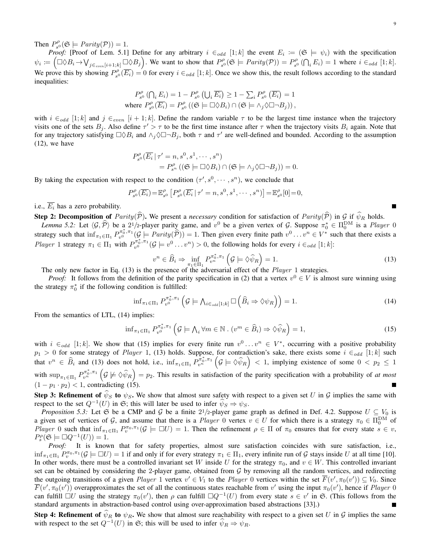Then  $P_{s^0}^{\rho}$  $P_{s^0}^{\rho}(\mathfrak{S} \models \mathit{Parity}(\mathcal{P})) = 1.$ 

*Proof:* [Proof of Lem. 5.1] Define for any arbitrary  $i \in_{odd} [1; k]$  the event  $E_i := (\mathfrak{S} \models \psi_i)$  with the specification  $\psi_i := \left( \Box \Diamond B_i \to \bigvee_{j \in_{even}[i+1;k]} \Box \Diamond B_j \right)$ . We want to show that  $P^{\rho}_{s^{\{c\}}}$  $P_{s^0}^{\rho}(\mathfrak{S} \models \mathit{Parity}(\mathcal{P})) = P_{s^0}^{\rho}$  $S<sub>s</sub><sup>0</sup>$  ( $\bigcap_i E_i$ ) = 1 where  $i \in_{odd} [1; k]$ . We prove this by showing  $P_{\rm g}^{\rho}$  $S^{\rho}_{s^0}(\overline{E_i}) = 0$  for every  $i \in_{odd} [1; k]$ . Once we show this, the result follows according to the standard inequalities:

$$
P_{s^0}^{\rho}(\bigcap_i E_i) = 1 - P_{s^0}^{\rho}(\bigcup_i \overline{E_i}) \ge 1 - \sum_i P_{s^0}^{\rho}(\overline{E_i}) = 1
$$
  
where  $P_{s^0}^{\rho}(\overline{E_i}) = P_{s^0}^{\rho}((\mathfrak{S} \models \Box \Diamond B_i) \cap (\mathfrak{S} \models \wedge_j \Diamond \Box \neg B_j)),$ 

with  $i \in_{odd} [1; k]$  and  $j \in_{even} [i + 1; k]$ . Define the random variable  $\tau$  to be the largest time instance when the trajectory visits one of the sets  $B_j$ . Also define  $\tau' > \tau$  to be the first time instance after  $\tau$  when the trajectory visits  $B_i$  again. Note that for any trajectory satisfying  $\Box \Diamond B_i$  and  $\land_j \Diamond \Box \neg B_j$ , both  $\tau$  and  $\tau'$  are well-defined and bounded. According to the assumption (12), we have

$$
P_{s^0}^{\rho}(\overline{E_i} | \tau' = n, s^0, s^1, \cdots, s^n)
$$
  
=  $P_{s^n}^{\rho} ((\mathfrak{S} \models \Box \Diamond B_i) \cap (\mathfrak{S} \models \land_j \Diamond \Box \neg B_j)) = 0.$ 

By taking the expectation with respect to the condition  $(\tau', s^0, \dots, s^n)$ , we conclude that

$$
P_{s^0}^{\rho}(\overline{E_i}) = \mathbb{E}_{s^0}^{\rho} \left[ P_{s^0}^{\rho}(\overline{E_i} \mid \tau' = n, s^0, s^1, \cdots, s^n) \right] = \mathbb{E}_{s^0}^{\rho} [0] = 0,
$$

i.e.,  $\overline{E_i}$  has a zero probability.

**Step 2: Decomposition of**  $Parity(\mathcal{P})$ . We present a *necessary* condition for satisfaction of  $Parity(\mathcal{P})$  in G if  $\psi_R$  holds.

*Lemma 5.2:* Let  $\langle \mathcal{G}, \mathcal{P} \rangle$  be a 2<sup>1</sup>/2-player parity game, and  $v^0$  be a given vertex of  $\mathcal{G}$ . Suppose  $\pi_0^* \in \Pi_0^{\text{DM}}$  is a *Player* 0 strategy such that  $\inf_{\pi_1 \in \Pi_1} P_{v^0}^{\pi_0^*, \pi_1}$  $v_0^{\pi_0, \pi_1}(\mathcal{G}) = \mathcal{F}$  arity $(\widehat{\mathcal{P}}) = 1$ . Then given every finite path  $v^0 \dots v^n \in V^*$  such that there exists a *Player* 1 strategy  $\pi_1 \in \Pi_1$  with  $P_{v_0}^{\pi_0^*, \pi_1}$  $v_0^{\pi_0, \pi_1}(\mathcal{G} \models v^0 \dots v^n) > 0$ , the following holds for every  $i \in_{odd} [1; k]$ :

$$
v^{n} \in \widehat{B}_{i} \Rightarrow \inf_{\pi_{1} \in \Pi_{1}} P_{v^{n}}^{\pi_{0}^{*}, \pi_{1}} \left( \mathcal{G} \models \Diamond \widehat{\psi}_{R} \right) = 1.
$$
\n(13)

The only new factor in Eq. (13) is the presence of the adversarial effect of the *Player* 1 strategies.

*Proof:* It follows from the definition of the parity specification in (2) that a vertex  $v^0 \in V$  is almost sure winning using the strategy  $\pi_0^*$  if the following condition is fulfilled:

$$
\inf_{\pi_1 \in \Pi_1} P_{v^0}^{\pi_0^*, \pi_1} \left( \mathcal{G} \models \bigwedge_{i \in_{\text{odd}}[1;k]} \Box \left( \widehat{B}_i \Rightarrow \Diamond \psi_R \right) \right) = 1. \tag{14}
$$

From the semantics of LTL,  $(14)$  implies:

$$
\inf_{\pi_1 \in \Pi_1} P_{v_0}^{\pi_0^*, \pi_1} \left( \mathcal{G} \models \bigwedge_i \forall m \in \mathbb{N} \ . \ (v^m \in \widehat{B}_i) \Rightarrow \Diamond \widehat{\psi}_R \right) = 1,\tag{15}
$$

with  $i \in_{odd} [1; k]$ . We show that (15) implies for every finite run  $v^0 \dots v^n \in V^*$ , occurring with a positive probability  $p_1 > 0$  for some strategy of *Player* 1, (13) holds. Suppose, for contradiction's sake, there exists some  $i \in_{odd} [1; k]$  such that  $v^n \in \widehat{B}_i$  and (13) does not hold, i.e.,  $\inf_{\pi_1 \in \Pi_1} P_{v^n}^{\pi_0^*, \pi_1} \left( \mathcal{G} \models \Diamond \widehat{\psi}_R \right) < 1$ , implying existence of some  $0 < p_2 \leq 1$ with  $\sup_{\pi_1 \in \Pi_1} P_{v_n}^{\pi_0^*, \pi_1} (\mathcal{G} \not\models \Diamond \widehat{\psi}_R) = p_2$ . This results in satisfaction of the parity specification with a probability of *at most*  $(1 - p_1 \cdot p_2) < 1$ , contradicting (15). П

**Step 3: Refinement of**  $\hat{\psi}_S$  to  $\psi_S$ . We show that almost sure safety with respect to a given set U in G implies the same with respect to the set  $Q^{-1}(U)$  in G; this will later be used to infer  $\hat{\psi}_S \Rightarrow \psi_S$ .

*Proposition 5.3:* Let  $\mathfrak G$  be a CMP and  $\mathcal G$  be a finite 2<sup>1</sup>/2-player game graph as defined in Def. 4.2. Suppose  $U \subseteq V_0$  is a given set of vertices of G, and assume that there is a *Player* 0 vertex  $v \in U$  for which there is a strategy  $\pi_0 \in \Pi_0^{\rm DM}$  of Player 0 such that  $\inf_{\pi_1 \in \Pi_1} P_v^{\pi_0, \pi_1}(\mathcal{G} \models \Box U) = 1$ . Then the refinement  $\rho \in \Pi$  of  $\pi_0$  ensures that for every state  $s \in v$ ,  $P_s^{\rho}(\mathfrak{S} \models \Box Q^{-1}(U)) = 1.$ 

*Proof:* It is known that for safety properties, almost sure satisfaction coincides with sure satisfaction, i.e.,  $\inf_{\pi_1 \in \Pi_1} P_v^{\pi_0, \pi_1}(\mathcal{G} \models \Box U) = 1$  if and only if for every strategy  $\pi_1 \in \Pi_1$ , every infinite run of  $\mathcal G$  stays inside U at all time [10]. In other words, there must be a controlled invariant set W inside U for the strategy  $\pi_0$ , and  $v \in W$ . This controlled invariant set can be obtained by considering the 2-player game, obtained from  $G$  by removing all the random vertices, and redirecting the outgoing transitions of a given *Player* 1 vertex  $v' \in V_1$  to the *Player* 0 vertices within the set  $F(v', \pi_0(v')) \subseteq V_0$ . Since  $F(v', \pi_0(v'))$  overapproximates the set of all the continuous states reachable from v' using the input  $\pi_0(v')$ , hence if *Player* 0 can fulfill  $\Box U$  using the strategy  $\pi_0(v')$ , then  $\rho$  can fulfill  $\Box Q^{-1}(U)$  from every state  $s \in v'$  in  $\Im$ . (This follows from the standard arguments in abstraction-based control using over-approximation based abstractions [33].)

**Step 4: Refinement of**  $\psi_R$  to  $\psi_R$ . We show that almost sure reachability with respect to a given set U in G implies the same with respect to the set  $Q^{-1}(U)$  in G; this will be used to infer  $\hat{\psi}_R \Rightarrow \psi_R$ .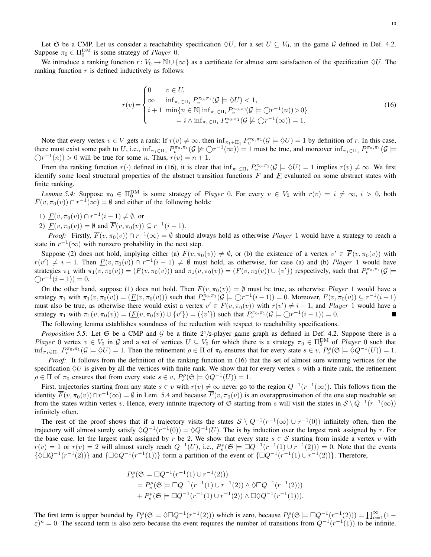Let G be a CMP. Let us consider a reachability specification  $\Diamond U$ , for a set  $U \subseteq V_0$ , in the game G defined in Def. 4.2. Suppose  $\pi_0 \in \Pi_0^{\text{DM}}$  is some strategy of *Player* 0.

We introduce a ranking function  $r: V_0 \to \mathbb{N} \cup \{\infty\}$  as a certificate for almost sure satisfaction of the specification  $\Diamond U$ . The ranking function  $r$  is defined inductively as follows:

$$
r(v) = \begin{cases} 0 & v \in U, \\ \infty & \inf_{\pi_1 \in \Pi_1} P_v^{\pi_0, \pi_1}(\mathcal{G} \models \Diamond U) < 1, \\ i + 1 & \min\{n \in \mathbb{N} | \inf_{\pi_1 \in \Pi_1} P_v^{\pi_0, \pi_1}(\mathcal{G} \models \bigcirc r^{-1}(n)) > 0\} \\ & = i \wedge \inf_{\pi_1 \in \Pi_1} P_v^{\pi_0, \pi_1}(\mathcal{G} \not\models \bigcirc r^{-1}(\infty)) = 1. \end{cases}
$$
(16)

Note that every vertex  $v \in V$  gets a rank: If  $r(v) \neq \infty$ , then  $\inf_{\pi_1 \in \Pi_1} P_v^{\pi_0, \pi_1}(\mathcal{G} \models \Diamond U) = 1$  by definition of r. In this case, there must exist some path to U, i.e.,  $\inf_{\pi_1 \in \Pi_1} P_v^{\pi_0, \pi_1}(\mathcal{G} \not\models \bigcirc r^{-1}(\infty)) = 1$  must be true, and moreover  $\inf_{\pi_1 \in \Pi_1} P_v^{\pi_0, \pi_1}(\mathcal{G} \not\models \bigcirc r^{-1}(\infty))$  $\bigcirc r^{-1}(n)$  > 0 will be true for some *n*. Thus,  $r(v) = n + 1$ .

From the ranking function  $r(\cdot)$  defined in (16), it is clear that  $\inf_{\pi_1 \in \Pi_1} P_{\underline{v}}^{\pi_0, \pi_1}(\mathcal{G} \models \Diamond U) = 1$  implies  $r(v) \neq \infty$ . We first identify some local structural properties of the abstract transition functions  $\overline{F}$  and  $F$  evaluated on some abstract states with finite ranking.

*Lemma 5.4:* Suppose  $\pi_0 \in \Pi_0^{\text{DM}}$  is some strategy of *Player* 0. For every  $v \in V_0$  with  $r(v) = i \neq \infty$ ,  $i > 0$ , both  $\overline{F}(v, \pi_0(v)) \cap r^{-1}(\infty) = \emptyset$  and either of the following holds:

- 1)  $\underline{F}(v, \pi_0(v)) \cap r^{-1}(i-1) \neq \emptyset$ , or
- 2)  $\underline{F}(v, \pi_0(v)) = \emptyset$  and  $\overline{F}(v, \pi_0(v)) \subseteq r^{-1}(i 1)$ .

*Proof:* Firstly,  $\overline{F}(v, \pi_0(v)) \cap r^{-1}(\infty) = \emptyset$  should always hold as otherwise *Player* 1 would have a strategy to reach a state in  $r^{-1}(\infty)$  with nonzero probability in the next step.

Suppose (2) does not hold, implying either (a)  $\underline{F}(v, \pi_0(v)) \neq \emptyset$ , or (b) the existence of a vertex  $v' \in F(v, \pi_0(v))$  with  $r(v') \neq i-1$ . Then  $\underline{F}(v, \pi_0(v)) \cap r^{-1}(i-1) \neq \emptyset$  must hold, as otherwise, for case (a) and (b) Player 1 would have strategies  $\pi_1$  with  $\pi_1(v, \pi_0(v)) = (\underline{F}(v, \pi_0(v)))$  and  $\pi_1(v, \pi_0(v)) = (\underline{F}(v, \pi_0(v)) \cup \{v'\})$  respectively, such that  $P_v^{\pi_0, \pi_1}(\mathcal{G} \models$  $\bigcirc r^{-1}(i-1)) = 0.$ 

On the other hand, suppose (1) does not hold. Then  $F(v, \pi_0(v)) = \emptyset$  must be true, as otherwise Player 1 would have a strategy  $\pi_1$  with  $\pi_1(v, \pi_0(v)) = (\underline{F}(v, \pi_0(v)))$  such that  $P_v^{\pi_0, \pi_1}(\underline{\mathcal{G}} \models \bigcirc r^{-1}(i-1)) = 0$ . Moreover,  $\overline{F}(v, \pi_0(v)) \subseteq r^{-1}(i-1)$ must also be true, as otherwise there would exist a vertex  $v' \in \overline{F}(v, \pi_0(v))$  with  $r(v') \neq i - 1$ , and *Player* 1 would have a strategy  $\pi_1$  with  $\pi_1(v, \pi_0(v)) = (\underline{F}(v, \pi_0(v)) \cup \{v'\}) = (\{v'\})$  such that  $P_v^{\pi_0, \pi_1}(\mathcal{G} \models \bigcirc r^{-1}(i-1)) = 0$ .

The following lemma establishes soundness of the reduction with respect to reachability specifications.

*Proposition 5.5:* Let  $\mathfrak{S}$  be a CMP and  $\mathcal{G}$  be a finite  $2^{1}/2$ -player game graph as defined in Def. 4.2. Suppose there is a Player 0 vertex  $v \in V_0$  in G and a set of vertices  $U \subseteq V_0$  for which there is a strategy  $\pi_0 \in \Pi_0^{\text{DM}}$  of Player 0 such that  $\inf_{\pi_1 \in \Pi_1} P_v^{\pi_0, \pi_1}(\mathcal{G} \models \Diamond U) = 1$ . Then the refinement  $\rho \in \Pi$  of  $\pi_0$  ensures that for every state  $s \in v$ ,  $P_s^{\rho}(\mathfrak{S} \models \Diamond Q^{-1}(U)) = 1$ .

*Proof:* It follows from the definition of the ranking function in (16) that the set of almost sure winning vertices for the specification  $\Diamond U$  is given by all the vertices with finite rank. We show that for every vertex v with a finite rank, the refinement  $\rho \in \Pi$  of  $\pi_0$  ensures that from every state  $s \in v$ ,  $P_s^{\rho}(\mathfrak{S} \models \Diamond Q^{-1}(U)) = 1$ .

First, trajectories starting from any state  $s \in v$  with  $r(v) \neq \infty$  never go to the region  $Q^{-1}(r^{-1}(\infty))$ . This follows from the identity  $\overline{F}(v, \pi_0(v)) \cap r^{-1}(\infty) = \emptyset$  in Lem. 5.4 and because  $\overline{F}(v, \pi_0(v))$  is an overapproximation of the one step reachable set from the states within vertex v. Hence, every infinite trajectory of  $\mathfrak S$  starting from s will visit the states in  $\mathcal S \setminus Q^{-1}(r^{-1}(\infty))$ infinitely often.

The rest of the proof shows that if a trajectory visits the states  $S \setminus Q^{-1}(r^{-1}(\infty) \cup r^{-1}(0))$  infinitely often, then the trajectory will almost surely satisfy  $\Diamond Q^{-1}(r^{-1}(0)) = \Diamond Q^{-1}(U)$ . The is by induction over the largest rank assigned by r. For the base case, let the largest rank assigned by r be 2. We show that every state  $s \in S$  starting from inside a vertex v with  $r(v) = 1$  or  $r(v) = 2$  will almost surely reach  $Q^{-1}(U)$ , i.e.,  $P_s^{\rho}(\mathfrak{S} \models \Box Q^{-1}(r^{-1}(1) \cup r^{-1}(2))) = 0$ . Note that the events  $\{\Diamond \Box Q^{-1}(r^{-1}(2))\}$  and  $\{\Box \Diamond Q^{-1}(r^{-1}(1))\}$  form a partition of the event of  $\{\Box Q^{-1}(r^{-1}(1) \cup r^{-1}(2))\}$ . Therefore,

$$
P_s^{\rho}(\mathfrak{S} \models \Box Q^{-1}(r^{-1}(1) \cup r^{-1}(2)))
$$
  
=  $P_s^{\rho}(\mathfrak{S} \models \Box Q^{-1}(r^{-1}(1) \cup r^{-1}(2)) \land \Diamond \Box Q^{-1}(r^{-1}(2)))$   
+  $P_s^{\rho}(\mathfrak{S} \models \Box Q^{-1}(r^{-1}(1) \cup r^{-1}(2)) \land \Box \Diamond Q^{-1}(r^{-1}(1))).$ 

The first term is upper bounded by  $P_s^{\rho}(\mathfrak{S} \models \Diamond \Box Q^{-1}(r^{-1}(2)))$  which is zero, because  $P_s^{\rho}(\mathfrak{S} \models \Box Q^{-1}(r^{-1}(2))) = \prod_{n=1}^{\infty} (1 \varepsilon$ )<sup>n</sup> = 0. The second term is also zero because the event requires the number of transitions from  $Q^{-1}(r^{-1}(1))$  to be infinite.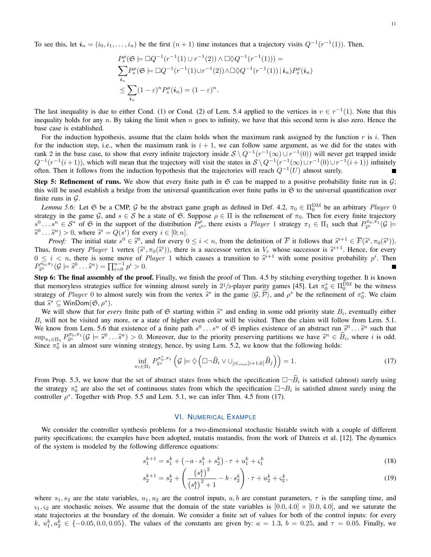To see this, let  $i_n = (i_0, i_1, \ldots, i_n)$  be the first  $(n + 1)$  time instances that a trajectory visits  $Q^{-1}(r^{-1}(1))$ . Then,

$$
P_s^{\rho}(\mathfrak{S} \models \Box Q^{-1}(r^{-1}(1) \cup r^{-1}(2)) \land \Box \Diamond Q^{-1}(r^{-1}(1))) =
$$
  
\n
$$
\sum_{i_n} P_s^{\rho}(\mathfrak{S} \models \Box Q^{-1}(r^{-1}(1) \cup r^{-1}(2)) \land \Box \Diamond Q^{-1}(r^{-1}(1)) | i_n) P_s^{\rho} (i_n)
$$
  
\n
$$
\leq \sum_{i_n} (1 - \varepsilon)^n P_s^{\rho} (i_n) = (1 - \varepsilon)^n.
$$

The last inequality is due to either Cond. (1) or Cond. (2) of Lem. 5.4 applied to the vertices in  $v \in r^{-1}(1)$ . Note that this inequality holds for any  $n$ . By taking the limit when  $n$  goes to infinity, we have that this second term is also zero. Hence the base case is established.

For the induction hypothesis, assume that the claim holds when the maximum rank assigned by the function r is i. Then for the induction step, i.e., when the maximum rank is  $i + 1$ , we can follow same argument, as we did for the states with rank 2 in the base case, to show that every infinite trajectory inside  $S \setminus Q^{-1}(r^{-1}(\infty) \cup r^{-1}(0))$  will never get trapped inside  $Q^{-1}(r^{-1}(i+1))$ , which will mean that the trajectory will visit the states in  $S \setminus Q^{-1}(r^{-1}(\infty) \cup r^{-1}(0) \cup r^{-1}(i+1))$  infinitely often. Then it follows from the induction hypothesis that the trajectories will reach  $Q^{-1}(U)$  almost surely.

Step 5: Refinement of runs. We show that every finite path in  $\mathfrak{S}$  can be mapped to a positive probability finite run in  $\mathcal{G}$ ; this will be used establish a bridge from the universal quantification over finite paths in  $\mathfrak S$  to the universal quantification over finite runs in  $G$ .

*Lemma 5.6:* Let G be a CMP, G be the abstract game graph as defined in Def. 4.2,  $\pi_0 \in \Pi_0^{\text{DM}}$  be an arbitrary *Player* 0 strategy in the game G, and  $s \in S$  be a state of G. Suppose  $\rho \in \Pi$  is the refinement of  $\pi_0$ . Then for every finite trajectory  $s^0 \dots s^n \in S^*$  of  $\mathfrak S$  in the support of the distribution  $\tilde P^{\rho}_{s^0}$  $\sum_{s=0}^{\infty}$ , there exists a *Player* 1 strategy  $\pi_1 \in \Pi_1$  such that  $P_{\tilde{s}}^{\pi_0, \pi_1}(\mathcal{G})$  $\hat{s}^0 \dots \hat{s}^n$  > 0, where  $\hat{s}^i = Q(s^i)$  for every  $i \in [0; n]$ .<br>**Proof:** The initial state  $s^0 \in \hat{s}^0$  and for every (

*Proof:* The initial state  $s^0 \in \tilde{s}^0$ , and for every  $0 \le i < n$ , from the definition of  $\overline{F}$  it follows that  $\hat{s}^{i+1} \in \overline{F}(\tilde{s}^i, \pi_0(\tilde{s}^i))$ .<br>from every *Player* 1 vertex  $(\hat{s}^i, \pi_0(\tilde{s}^i))$ , there is a su , and for every  $0 \le i < n$ , from the definition of F it follows that  $\hat{s}^{i+1} \in F(\hat{s}^i, \pi_0(\hat{s}^i))$  there is a successor vertex in V, whose successor is  $\hat{s}^{i+1}$ . Hence, for ev Thus, from every *Player* 1 vertex  $(\hat{s}^i, \pi_0(\hat{s}^i))$ , there is a successor vertex in  $V_r$  whose successor is  $\hat{s}^{i+1}$ . Hence, for every  $0 \le i \le n$  there is some move of *Player* 1 which causes a transition to  $\hat{s}^{i$  $0 \leq i < n$ , there is some move of *Player* 1 which causes a transition to  $\hat{s}^{i+1}$  with some positive probability  $p^i$ . Then  $P^{\pi_0, \pi_1}(G \models \hat{s}^0 \quad \hat{s}^n) = \prod^{n-1} p^i > 0$  $P_{\hat{s}^0}^{\pi_0, \pi_1}(\mathcal{G} \models \hat{s}^0 \dots \hat{s}^n) = \prod_{i=0}^{n-1} p^i > 0.$ 

Step 6: The final assembly of the proof. Finally, we finish the proof of Thm. 4.5 by stitching everything together. It is known that memoryless strategies suffice for winning almost surely in 2<sup>1</sup>/2-player parity games [45]. Let  $\pi_0^* \in \Pi_0^{\text{DM}}$  be the witness strategy of Player 0 to almost surely win from the vertex  $\hat{s}^*$  in the game  $\langle \mathcal{G}, \mathcal{P} \rangle$ , and  $\rho^*$  be the refinement of  $\pi_0^*$ . We claim that  $\hat{s}^* \subset \text{MinDom}(\mathfrak{S} \mid a^*)$ that  $\widehat{s}^* \subseteq \text{WinDom}(\mathfrak{S}, \rho^*).$ <br>We will show that for  $\mathfrak{m}$ 

We will show that for *every* finite path of  $\mathfrak{S}$  starting within  $\hat{s}^*$  and ending in some odd priority state  $B_i$ , eventually either will not be visited any more or a state of bigher even color will be visited. T  $B_i$  will not be visited any more, or a state of higher even color will be visited. Then the claim will follow from Lem. 5.1. We know from Lem. 5.6 that existence of a finite path  $s^0 \dots s^n$  of  $\mathfrak{S}$  implies existence of an abstract run  $\hat{s}^0 \dots \hat{s}^n$  such that  $P^{\pi_0, \pi_1}(G \models \hat{s}^0 \quad \hat{s}^n) > 0$ . Moreover, due to the priority preserving pa  $\sup_{\pi_1 \in \Pi_1} P_{\tilde{s}}^{\pi_0, \pi_1} (\mathcal{G} \models \hat{s}^0 \dots \hat{s}^n) > 0$ . Moreover, due to the priority preserving partitions we have  $\hat{s}^n \in \widehat{B}_i$ , where i is odd.<br>Since  $\pi^*$  is an almost sure winning strategy hence, by using Since  $\pi_0^*$  is an almost sure winning strategy, hence, by using Lem. 5.2, we know that the following holds:

$$
\inf_{\pi_1 \in \Pi_1} P_{\widehat{s}^n}^{\pi_0^*, \pi_1} \left( \mathcal{G} \models \Diamond \left( \Box \neg \widehat{B}_i \vee \bigcup_{j \in_{even}[i+1; k]} \widehat{B}_j \right) \right) = 1. \tag{17}
$$

From Prop. 5.3, we know that the set of abstract states from which the specification  $\Box \neg \widehat{B}_i$  is satisfied (almost) surely using the strategy  $\pi_0^*$  are also the set of continuous states from which the specification  $\Box \neg B_i$  is satisfied almost surely using the controller  $\rho^*$ . Together with Prop. 5.5 and Lem. 5.1, we can infer Thm. 4.5 from (17).

### VI. NUMERICAL EXAMPLE

We consider the controller synthesis problems for a two-dimensional stochastic bistable switch with a couple of different parity specifications; the examples have been adopted, mutatis mutandis, from the work of Dutreix et al. [12]. The dynamics of the system is modeled by the following difference equations:

$$
s_1^{k+1} = s_1^k + \left(-a \cdot s_1^k + s_2^k\right) \cdot \tau + u_1^k + \varsigma_1^k \tag{18}
$$

$$
s_2^{k+1} = s_2^k + \left(\frac{\left(s_1^k\right)^2}{\left(s_1^k\right)^2 + 1} - b \cdot s_2^k\right) \cdot \tau + u_2^k + \varsigma_2^k,\tag{19}
$$

where  $s_1, s_2$  are the state variables,  $u_1, u_2$  are the control inputs,  $a, b$  are constant parameters,  $\tau$  is the sampling time, and  $\varsigma_1, \varsigma_2$  are stochastic noises. We assume that the domain of the state variables is  $[0.0, 4.0] \times [0.0, 4.0]$ , and we saturate the state trajectories at the boundary of the domain. We consider a finite set of values for both of the control inputs: for every  $k, u_1^k, u_2^k \in \{-0.05, 0.0, 0.05\}$ . The values of the constants are given by:  $a = 1.3$ ,  $b = 0.25$ , and  $\tau = 0.05$ . Finally, we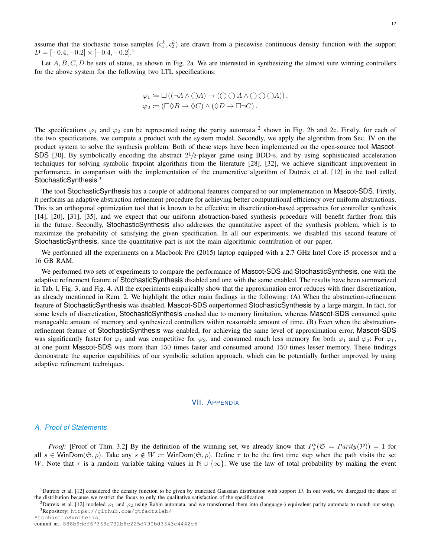assume that the stochastic noise samples  $(\zeta_1^k, \zeta_2^k)$  are drawn from a piecewise continuous density function with the support  $D = [-0.4, -0.2] \times [-0.4, -0.2]$ <sup>1</sup>

Let  $A, B, C, D$  be sets of states, as shown in Fig. 2a. We are interested in synthesizing the almost sure winning controllers for the above system for the following two LTL specifications:

$$
\varphi_1 := \Box ((\neg A \land \bigcirc A) \to (\bigcirc \bigcirc A \land \bigcirc \bigcirc \bigcirc A)),
$$
  

$$
\varphi_2 := (\Box \Diamond B \to \Diamond C) \land (\Diamond D \to \Box \neg C).
$$

The specifications  $\varphi_1$  and  $\varphi_2$  can be represented using the parity automata <sup>2</sup> shown in Fig. 2b and 2c. Firstly, for each of the two specifications, we compute a product with the system model. Secondly, we apply the algorithm from Sec. IV on the product system to solve the synthesis problem. Both of these steps have been implemented on the open-source tool Mascot-SDS [30]. By symbolically encoding the abstract  $2\frac{1}{2}$ -player game using BDD-s, and by using sophisticated acceleration techniques for solving symbolic fixpoint algorithms from the literature [28], [32], we achieve significant improvement in performance, in comparison with the implementation of the enumerative algorithm of Dutreix et al. [12] in the tool called StochasticSynthesis.<sup>3</sup>

The tool StochasticSynthesis has a couple of additional features compared to our implementation in Mascot-SDS. Firstly, it performs an adaptive abstraction refinement procedure for achieving better computational efficiency over uniform abstractions. This is an orthogonal optimization tool that is known to be effective in discretization-based approaches for controller synthesis [14], [20], [31], [35], and we expect that our uniform abstraction-based synthesis procedure will benefit further from this in the future. Secondly, StochasticSynthesis also addresses the quantitative aspect of the synthesis problem, which is to maximize the probability of satisfying the given specification. In all our experiments, we disabled this second feature of StochasticSynthesis, since the quantitative part is not the main algorithmic contribution of our paper.

We performed all the experiments on a Macbook Pro (2015) laptop equipped with a 2.7 GHz Intel Core i5 processor and a 16 GB RAM.

We performed two sets of experiments to compare the performance of Mascot-SDS and StochasticSynthesis, one with the adaptive refinement feature of StochasticSynthesis disabled and one with the same enabled. The results have been summarized in Tab. I, Fig. 3, and Fig. 4. All the experiments empirically show that the approximation error reduces with finer discretization, as already mentioned in Rem. 2. We highlight the other main findings in the following: (A) When the abstraction-refinement feature of StochasticSynthesis was disabled, Mascot-SDS outperformed StochasticSynthesis by a large margin. In fact, for some levels of discretization, StochasticSynthesis crashed due to memory limitation, whereas Mascot-SDS consumed quite manageable amount of memory and synthesized controllers within reasonable amount of time. (B) Even when the abstractionrefinement feature of StochasticSynthesis was enabled, for achieving the same level of approximation error, Mascot-SDS was significantly faster for  $\varphi_1$  and was competitive for  $\varphi_2$ , and consumed much less memory for both  $\varphi_1$  and  $\varphi_2$ : For  $\varphi_1$ , at one point Mascot-SDS was more than 150 times faster and consumed around 150 times lesser memory. These findings demonstrate the superior capabilities of our symbolic solution approach, which can be potentially further improved by using adaptive refinement techniques.

## VII. APPENDIX

## *A. Proof of Statements*

*Proof:* [Proof of Thm. 3.2] By the definition of the winning set, we already know that  $P_s^{\rho}(\mathfrak{S} \models \text{Parity}(\mathcal{P})) = 1$  for all  $s \in \text{WinDom}(\mathfrak{S}, \rho)$ . Take any  $s \notin W := \text{WinDom}(\mathfrak{S}, \rho)$ . Define  $\tau$  to be the first time step when the path visits the set W. Note that  $\tau$  is a random variable taking values in  $\mathbb{N} \cup \{\infty\}$ . We use the law of total probability by making the event

commit nr.: 888b9dcf67369a732b8c225d790bd3343e4442e5

<sup>&</sup>lt;sup>1</sup>Dutreix et al. [12] considered the density function to be given by truncated Gaussian distribution with support  $D$ . In our work, we disregard the shape of the distribution because we restrict the focus to only the qualitative satisfaction of the specification.

<sup>&</sup>lt;sup>2</sup>Dutreix et al. [12] modeled  $\varphi_1$  and  $\varphi_2$  using Rabin automata, and we transformed them into (language-) equivalent parity automata to match our setup. <sup>3</sup>Repository: https://github.com/gtfactslab/

StochasticSynthesis,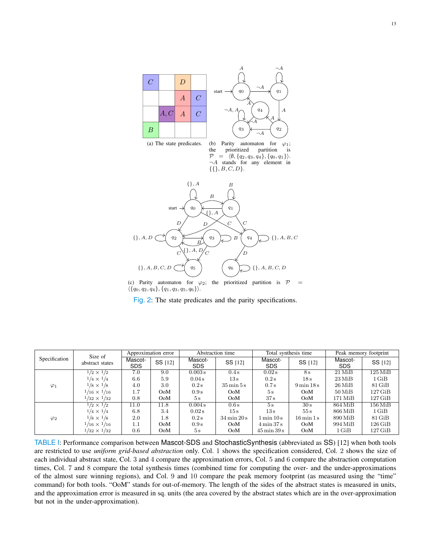

(c) Parity automaton for  $\varphi_2$ ; the prioritized partition is  $\mathcal{P}$  =  $\langle \{q_0, q_2, q_4\}, \{q_1, q_3, q_5, q_6\}\rangle.$ 

|  |  |  |  |  |  | Fig. 2: The state predicates and the parity specifications. |
|--|--|--|--|--|--|-------------------------------------------------------------|
|--|--|--|--|--|--|-------------------------------------------------------------|

| Specification | Size of<br>abstract states | Approximation error   |                  | Abstraction time      |                                       | Total synthesis time                |                                     | Peak memory footprint |                     |
|---------------|----------------------------|-----------------------|------------------|-----------------------|---------------------------------------|-------------------------------------|-------------------------------------|-----------------------|---------------------|
|               |                            | Mascot-<br><b>SDS</b> | SS [12]          | Mascot-<br><b>SDS</b> | SS [12]                               | Mascot-<br><b>SDS</b>               | SS [12]                             | Mascot-<br><b>SDS</b> | SS [12]             |
| $\varphi_1$   | $1/2 \times 1/2$           | 7.0                   | 9.0              | 0.003 s               | 0.4s                                  | 0.02s                               | 8s                                  | $21\,\mathrm{Mi}$ B   | $125\,\mathrm{MiB}$ |
|               | $1/4 \times 1/4$           | 6.6                   | 5.9              | 0.04s                 | 13s                                   | 0.2s                                | 18s                                 | $23\,\mathrm{Mi}B$    | $1\,\mathrm{GiB}$   |
|               | $1/8 \times 1/8$           | 4.0                   | 3.0              | 0.2 s                 | $35 \,\mathrm{min} \, 5 \,\mathrm{s}$ | 0.7s                                | $9 \text{ min } 18 \text{ s}$       | $26\,\mathrm{MiB}$    | $81\,\mathrm{GiB}$  |
|               | $1/16 \times 1/16$         | 1.7                   | OoM              | 0.9 s                 | O <sub>0</sub> M                      | 5s                                  | O <sub>0</sub> M                    | $50\,\mathrm{Mi}$ B   | $127\,\mathrm{GiB}$ |
|               | $1/32 \times 1/32$         | 0.8                   | O <sub>0</sub> M | 5s                    | O <sub>0</sub> M                      | 37s                                 | O <sub>0</sub> M                    | 171 MiB               | $127\,\mathrm{GiB}$ |
| $\varphi_2$   | $1/2 \times 1/2$           | 11.0                  | 11.8             | 0.004 s               | 0.6s                                  | 5s                                  | 30s                                 | 864 MiB               | $156\,\mathrm{MiB}$ |
|               | $1/4 \times 1/4$           | 6.8                   | 3.4              | $0.02$ s              | $15\,\mathrm{s}$                      | 13s                                 | 55 s                                | 866 MiB               | $1$ GiB             |
|               | $1/8 \times 1/8$           | 2.0                   | 1.8              | 0.2 s                 | $34 \,\mathrm{min} \,20 \,\mathrm{s}$ | $1 \,\mathrm{min}\,10 \,\mathrm{s}$ | $16 \,\mathrm{min} \,1\,\mathrm{s}$ | 890 MiB               | $81\,\mathrm{GiB}$  |
|               | $1/16 \times 1/16$         | 1.1                   | O <sub>0</sub> M | 0.9s                  | O <sub>0</sub> M                      | $4 \,\mathrm{min}\,37 \,\mathrm{s}$ | O <sub>0</sub> M                    | 994 MiB               | $126\,\mathrm{GiB}$ |
|               | $1/32 \times 1/32$         | 0.6                   | OoM              | 5s                    | O <sub>0</sub> M                      | $45 \,\mathrm{min}\,39\,\mathrm{s}$ | O <sub>0</sub> M                    | $1$ GiB               | $127\,\mathrm{GiB}$ |

TABLE I: Performance comparison between Mascot-SDS and StochasticSynthesis (abbreviated as SS) [12] when both tools are restricted to use *uniform grid-based abstraction* only. Col. 1 shows the specification considered, Col. 2 shows the size of each individual abstract state, Col. 3 and 4 compare the approximation errors, Col. 5 and 6 compare the abstraction computation times, Col. 7 and 8 compare the total synthesis times (combined time for computing the over- and the under-approximations of the almost sure winning regions), and Col. 9 and 10 compare the peak memory footprint (as measured using the "time" command) for both tools. "OoM" stands for out-of-memory. The length of the sides of the abstract states is measured in units, and the approximation error is measured in sq. units (the area covered by the abstract states which are in the over-approximation but not in the under-approximation).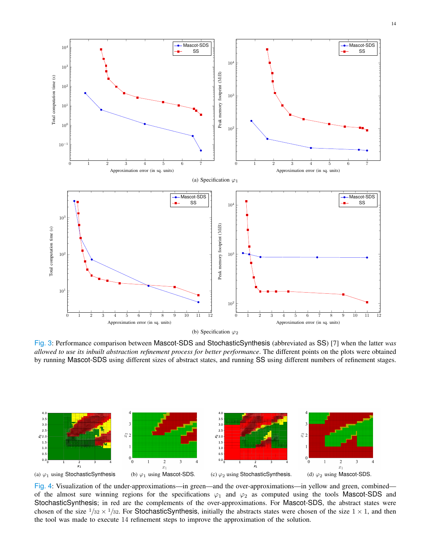

Fig. 3: Performance comparison between Mascot-SDS and StochasticSynthesis (abbreviated as SS) [7] when the latter *was allowed to use its inbuilt abstraction refinement process for better performance*. The different points on the plots were obtained by running Mascot-SDS using different sizes of abstract states, and running SS using different numbers of refinement stages.



Fig. 4: Visualization of the under-approximations—in green—and the over-approximations—in yellow and green, combined of the almost sure winning regions for the specifications  $\varphi_1$  and  $\varphi_2$  as computed using the tools Mascot-SDS and StochasticSynthesis; in red are the complements of the over-approximations. For Mascot-SDS, the abstract states were chosen of the size  $1/32 \times 1/32$ . For StochasticSynthesis, initially the abstracts states were chosen of the size  $1 \times 1$ , and then the tool was made to execute 14 refinement steps to improve the approximation of the solution.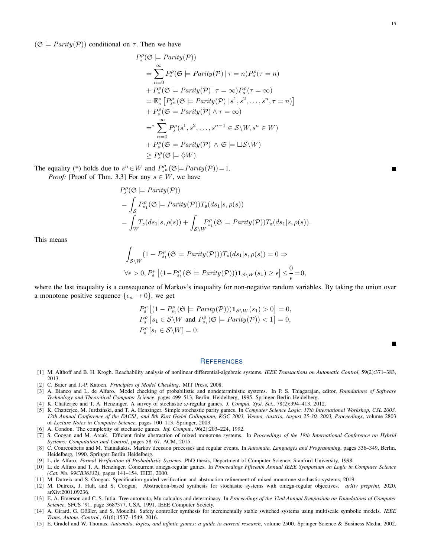$(\mathfrak{S} \models \text{Parity}(\mathcal{P}))$  conditional on  $\tau$ . Then we have

$$
P_s^{\rho}(\mathfrak{S} \models Parity(\mathcal{P}))
$$
  
= 
$$
\sum_{n=0}^{\infty} P_s^{\rho}(\mathfrak{S} \models Parity(\mathcal{P}) \mid \tau = n) P_s^{\rho}(\tau = n)
$$
  
+ 
$$
P_s^{\rho}(\mathfrak{S} \models Parity(\mathcal{P}) \mid \tau = \infty) P_s^{\rho}(\tau = \infty)
$$
  
= 
$$
\mathbb{E}_s^{\rho} [P_s^{\rho}(\mathfrak{S} \models Parity(\mathcal{P}) \mid s^1, s^2, \dots, s^n, \tau = n)]
$$
  
+ 
$$
P_s^{\rho}(\mathfrak{S} \models Parity(\mathcal{P}) \land \tau = \infty)
$$
  
= 
$$
* \sum_{n=0}^{\infty} P_s^{\rho}(s^1, s^2, \dots, s^{n-1} \in \mathcal{S} \setminus W, s^n \in W)
$$
  
+ 
$$
P_s^{\rho}(\mathfrak{S} \models Parity(\mathcal{P}) \land \mathfrak{S} \models \Box \mathcal{S} \setminus W)
$$
  

$$
\geq P_s^{\rho}(\mathfrak{S} \models \Diamond W).
$$

The equality (\*) holds due to  $s^n \in W$  and  $P_{s^n}^{\rho}(\mathfrak{S} \models Parity(\mathcal{P})) = 1$ .

*Proof:* [Proof of Thm. 3.3] For any  $s \in W$ , we have

$$
P_s^{\rho}(\mathfrak{S} \models Parity(\mathcal{P}))
$$
  
=  $\int_{\mathcal{S}} P_{s_1}^{\rho}(\mathfrak{S} \models Parity(\mathcal{P})) T_{\mathfrak{s}}(ds_1|s, \rho(s))$   
=  $\int_W T_{\mathfrak{s}}(ds_1|s, \rho(s)) + \int_{\mathcal{S}\backslash W} P_{s_1}^{\rho}(\mathfrak{S} \models Parity(\mathcal{P})) T_{\mathfrak{s}}(ds_1|s, \rho(s)).$ 

This means

$$
\int_{\mathcal{S}\backslash W} (1 - P_{s_1}^{\rho}(\mathfrak{S} \models \operatorname{Parity}(\mathcal{P}))) T_{\mathfrak{s}}(ds_1 | s, \rho(s)) = 0 \Rightarrow
$$
  

$$
\forall \epsilon > 0, P_s^{\rho} \left[ (1 - P_{s_1}^{\rho}(\mathfrak{S} \models \operatorname{Parity}(\mathcal{P}))) \mathbf{1}_{\mathcal{S}\backslash W}(s_1) \ge \epsilon \right] \le \frac{0}{\epsilon} = 0,
$$

where the last inequality is a consequence of Markov's inequality for non-negative random variables. By taking the union over a monotone positive sequence  $\{\epsilon_n \to 0\}$ , we get

$$
P_s^{\rho} \left[ (1 - P_{s_1}^{\rho}(\mathfrak{S} \models \operatorname{Parity}(\mathcal{P}))) \mathbf{1}_{\mathcal{S} \setminus W}(s_1) > 0 \right] = 0,
$$
  
\n
$$
P_s^{\rho} \left[ s_1 \in \mathcal{S} \setminus W \text{ and } P_{s_1}^{\rho}(\mathfrak{S} \models \operatorname{Parity}(\mathcal{P})) < 1 \right] = 0,
$$
  
\n
$$
P_s^{\rho} \left[ s_1 \in \mathcal{S} \setminus W \right] = 0.
$$

Е

#### **REFERENCES**

- [1] M. Althoff and B. H. Krogh. Reachability analysis of nonlinear differential-algebraic systems. *IEEE Transactions on Automatic Control*, 59(2):371–383, 2013.
- [2] C. Baier and J.-P. Katoen. *Principles of Model Checking*. MIT Press, 2008.
- [3] A. Bianco and L. de Alfaro. Model checking of probabilistic and nondeterministic systems. In P. S. Thiagarajan, editor, *Foundations of Software Technology and Theoretical Computer Science*, pages 499–513, Berlin, Heidelberg, 1995. Springer Berlin Heidelberg.
- [4] K. Chatterjee and T. A. Henzinger. A survey of stochastic ω-regular games. *J. Comput. Syst. Sci.*, 78(2):394–413, 2012.
- [5] K. Chatterjee, M. Jurdzinski, and T. A. Henzinger. Simple stochastic parity games. In *Computer Science Logic, 17th International Workshop, CSL 2003, 12th Annual Conference of the EACSL, and 8th Kurt Godel Colloquium, KGC 2003, Vienna, Austria, August 25-30, 2003, Proceedings ¨* , volume 2803 of *Lecture Notes in Computer Science*, pages 100–113. Springer, 2003.
- [6] A. Condon. The complexity of stochastic games. *Inf. Comput.*, 96(2):203–224, 1992.
- [7] S. Coogan and M. Arcak. Efficient finite abstraction of mixed monotone systems. In *Proceedings of the 18th International Conference on Hybrid Systems: Computation and Control*, pages 58–67. ACM, 2015.
- [8] C. Courcoubetis and M. Yannakakis. Markov decision processes and regular events. In *Automata, Languages and Programming*, pages 336–349, Berlin, Heidelberg, 1990. Springer Berlin Heidelberg.
- [9] L. de Alfaro. *Formal Verification of Probabilistic Systems*. PhD thesis, Department of Computer Science, Stanford University, 1998.
- [10] L. de Alfaro and T. A. Henzinger. Concurrent omega-regular games. In *Proceedings Fifteenth Annual IEEE Symposium on Logic in Computer Science (Cat. No. 99CB36332)*, pages 141–154. IEEE, 2000.
- [11] M. Dutreix and S. Coogan. Specification-guided verification and abstraction refinement of mixed-monotone stochastic systems, 2019.
- [12] M. Dutreix, J. Huh, and S. Coogan. Abstraction-based synthesis for stochastic systems with omega-regular objectives. *arXiv preprint*, 2020. arXiv:2001.09236.
- [13] E. A. Emerson and C. S. Jutla. Tree automata, Mu-calculus and determinacy. In *Proceedings of the 32nd Annual Symposium on Foundations of Computer Science*, SFCS '91, page 368?377, USA, 1991. IEEE Computer Society.
- [14] A. Girard, G. Gößler, and S. Mouelhi. Safety controller synthesis for incrementally stable switched systems using multiscale symbolic models. IEEE *Trans. Autom. Control.*, 61(6):1537–1549, 2016.
- [15] E. Gradel and W. Thomas. *Automata, logics, and infinite games: a guide to current research*, volume 2500. Springer Science & Business Media, 2002.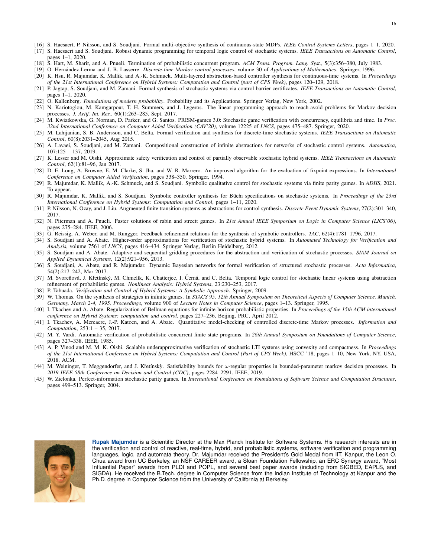- [16] S. Haesaert, P. Nilsson, and S. Soudjani. Formal multi-objective synthesis of continuous-state MDPs. *IEEE Control Systems Letters*, pages 1–1, 2020.
- [17] S. Haesaert and S. Soudjani. Robust dynamic programming for temporal logic control of stochastic systems. *IEEE Transactions on Automatic Control*, pages 1–1, 2020.
- [18] S. Hart, M. Sharir, and A. Pnueli. Termination of probabilistic concurrent program. *ACM Trans. Program. Lang. Syst.*, 5(3):356–380, July 1983.
- [19] O. Hernández-Lerma and J. B. Lasserre. *Discrete-time Markov control processes*, volume 30 of *Applications of Mathematics*. Springer, 1996.
- [20] K. Hsu, R. Majumdar, K. Mallik, and A.-K. Schmuck. Multi-layered abstraction-based controller synthesis for continuous-time systems. In *Proceedings of the 21st International Conference on Hybrid Systems: Computation and Control (part of CPS Week)*, pages 120–129, 2018.
- [21] P. Jagtap, S. Soudjani, and M. Zamani. Formal synthesis of stochastic systems via control barrier certificates. *IEEE Transactions on Automatic Control*, pages 1–1, 2020.
- [22] O. Kallenberg. *Foundations of modern probability*. Probability and its Applications. Springer Verlag, New York, 2002.
- [23] N. Kariotoglou, M. Kamgarpour, T. H. Summers, and J. Lygeros. The linear programming approach to reach-avoid problems for Markov decision processes. *J. Artif. Int. Res.*, 60(1):263–285, Sept. 2017.
- [24] M. Kwiatkowska, G. Norman, D. Parker, and G. Santos. PRISM-games 3.0: Stochastic game verification with concurrency, equilibria and time. In *Proc. 32nd International Conference on Computer Aided Verification (CAV'20)*, volume 12225 of *LNCS*, pages 475–487. Springer, 2020.
- [25] M. Lahijanian, S. B. Andersson, and C. Belta. Formal verification and synthesis for discrete-time stochastic systems. *IEEE Transactions on Automatic Control*, 60(8):2031–2045, Aug 2015.
- [26] A. Lavaei, S. Soudjani, and M. Zamani. Compositional construction of infinite abstractions for networks of stochastic control systems. *Automatica*, 107:125 – 137, 2019.
- [27] K. Lesser and M. Oishi. Approximate safety verification and control of partially observable stochastic hybrid systems. *IEEE Transactions on Automatic Control*, 62(1):81–96, Jan 2017.
- [28] D. E. Long, A. Browne, E. M. Clarke, S. Jha, and W. R. Marrero. An improved algorithm for the evaluation of fixpoint expressions. In *International Conference on Computer Aided Verification*, pages 338–350. Springer, 1994.
- [29] R. Majumdar, K. Mallik, A.-K. Schmuck, and S. Soudjani. Symbolic qualitative control for stochastic systems via finite parity games. In *ADHS*, 2021. To appear.
- [30] R. Majumdar, K. Mallik, and S. Soudjani. Symbolic controller synthesis for Büchi specifications on stochastic systems. In *Proceedings of the 23rd International Conference on Hybrid Systems: Computation and Control*, pages 1–11, 2020.
- [31] P. Nilsson, N. Ozay, and J. Liu. Augmented finite transition systems as abstractions for control synthesis. *Discrete Event Dynamic Systems*, 27(2):301–340, 2017.
- [32] N. Piterman and A. Pnueli. Faster solutions of rabin and streett games. In *21st Annual IEEE Symposium on Logic in Computer Science (LICS'06)*, pages 275–284. IEEE, 2006.
- [33] G. Reissig, A. Weber, and M. Rungger. Feedback refinement relations for the synthesis of symbolic controllers. *TAC*, 62(4):1781–1796, 2017.
- [34] S. Soudjani and A. Abate. Higher-order approximations for verification of stochastic hybrid systems. In *Automated Technology for Verification and Analysis*, volume 7561 of *LNCS*, pages 416–434. Springer Verlag, Berlin Heidelberg, 2012.
- [35] S. Soudjani and A. Abate. Adaptive and sequential gridding procedures for the abstraction and verification of stochastic processes. *SIAM Journal on Applied Dynamical Systems*, 12(2):921–956, 2013.
- [36] S. Soudjani, A. Abate, and R. Majumdar. Dynamic Bayesian networks for formal verification of structured stochastic processes. *Acta Informatica*, 54(2):217–242, Mar 2017.
- [37] M. Svoreňová, J. Křetínský, M. Chmelík, K. Chatterjee, I. Černá, and C. Belta. Temporal logic control for stochastic linear systems using abstraction refinement of probabilistic games. *Nonlinear Analysis: Hybrid Systems*, 23:230–253, 2017.
- [38] P. Tabuada. *Verification and Control of Hybrid Systems: A Symbolic Approach*. Springer, 2009.
- [39] W. Thomas. On the synthesis of strategies in infinite games. In *STACS 95, 12th Annual Symposium on Theoretical Aspects of Computer Science, Munich, Germany, March 2-4, 1995, Proceedings*, volume 900 of *Lecture Notes in Computer Science*, pages 1–13. Springer, 1995.
- [40] I. Tkachev and A. Abate. Regularization of Bellman equations for infinite-horizon probabilistic properties. In *Proceedings of the 15th ACM international conference on Hybrid Systems: computation and control*, pages 227–236, Beijing, PRC, April 2012.
- [41] I. Tkachev, A. Mereacre, J.-P. Katoen, and A. Abate. Quantitative model-checking of controlled discrete-time Markov processes. *Information and Computation*, 253:1 – 35, 2017.
- [42] M. Y. Vardi. Automatic verification of probabilistic concurrent finite state programs. In *26th Annual Symposium on Foundations of Computer Science*, pages 327–338. IEEE, 1985.
- [43] A. P. Vinod and M. M. K. Oishi. Scalable underapproximative verification of stochastic LTI systems using convexity and compactness. In *Proceedings of the 21st International Conference on Hybrid Systems: Computation and Control (Part of CPS Week)*, HSCC '18, pages 1–10, New York, NY, USA, 2018. ACM.
- [44] M. Weininger, T. Meggendorfer, and J. Křetínský. Satisfiability bounds for  $\omega$ -regular properties in bounded-parameter markov decision processes. In *2019 IEEE 58th Conference on Decision and Control (CDC)*, pages 2284–2291. IEEE, 2019.
- [45] W. Zielonka. Perfect-information stochastic parity games. In *International Conference on Foundations of Software Science and Computation Structures*, pages 499–513. Springer, 2004.



**Rupak Majumdar** is a Scientific Director at the Max Planck Institute for Software Systems. His research interests are in the verification and control of reactive, real-time, hybrid, and probabilistic systems, software verification and programming languages, logic, and automata theory. Dr. Majumdar received the President's Gold Medal from IIT, Kanpur, the Leon O. Chua award from UC Berkeley, an NSF CAREER award, a Sloan Foundation Fellowship, an ERC Synergy award, "Most Influential Paper" awards from PLDI and POPL, and several best paper awards (including from SIGBED, EAPLS, and SIGDA). He received the B.Tech. degree in Computer Science from the Indian Institute of Technology at Kanpur and the Ph.D. degree in Computer Science from the University of California at Berkeley.